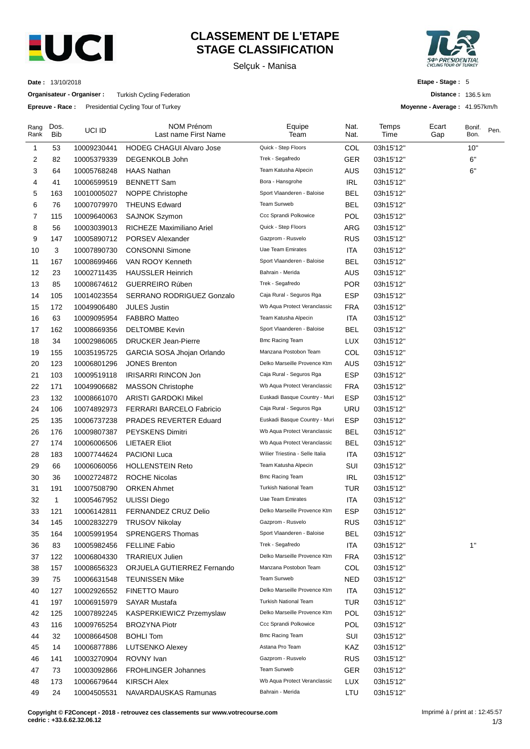

# **CLASSEMENT DE L'ETAPE STAGE CLASSIFICATION**

Selçuk - Manisa



**Distance :** 136.5 km **Moyenne - Average :** 41.957km/h

**Etape - Stage :** 5

**Date :** 13/10/2018

**Organisateur - Organiser :** Turkish Cycling Federation

**Epreuve - Race :** Presidential Cycling Tour of Turkey

| Rang<br>Rank | Dos.<br><b>Bib</b> | UCI ID      | <b>NOM Prénom</b><br>Last name First Name | Equipe<br>Team                  | Nat.<br>Nat. | Temps<br>Time | Ecart<br>Gap | Bonif.<br>Bon. | Pen. |
|--------------|--------------------|-------------|-------------------------------------------|---------------------------------|--------------|---------------|--------------|----------------|------|
| 1            | 53                 | 10009230441 | <b>HODEG CHAGUI Alvaro Jose</b>           | Quick - Step Floors             | COL          | 03h15'12"     |              | 10"            |      |
| 2            | 82                 | 10005379339 | DEGENKOLB John                            | Trek - Segafredo                | <b>GER</b>   | 03h15'12"     |              | 6"             |      |
| 3            | 64                 | 10005768248 | <b>HAAS Nathan</b>                        | Team Katusha Alpecin            | <b>AUS</b>   | 03h15'12"     |              | 6"             |      |
| 4            | 41                 | 10006599519 | <b>BENNETT Sam</b>                        | Bora - Hansgrohe                | <b>IRL</b>   | 03h15'12"     |              |                |      |
| 5            | 163                | 10010005027 | NOPPE Christophe                          | Sport Vlaanderen - Baloise      | <b>BEL</b>   | 03h15'12"     |              |                |      |
| 6            | 76                 | 10007079970 | <b>THEUNS Edward</b>                      | Team Sunweb                     | <b>BEL</b>   | 03h15'12"     |              |                |      |
| 7            | 115                | 10009640063 | <b>SAJNOK Szymon</b>                      | Ccc Sprandi Polkowice           | POL          | 03h15'12"     |              |                |      |
| 8            | 56                 | 10003039013 | RICHEZE Maximiliano Ariel                 | Quick - Step Floors             | ARG          | 03h15'12"     |              |                |      |
| 9            | 147                | 10005890712 | PORSEV Alexander                          | Gazprom - Rusvelo               | <b>RUS</b>   | 03h15'12"     |              |                |      |
| 10           | 3                  | 10007890730 | <b>CONSONNI Simone</b>                    | Uae Team Emirates               | <b>ITA</b>   | 03h15'12"     |              |                |      |
| 11           | 167                | 10008699466 | VAN ROOY Kenneth                          | Sport Vlaanderen - Baloise      | <b>BEL</b>   | 03h15'12"     |              |                |      |
| 12           | 23                 | 10002711435 | <b>HAUSSLER Heinrich</b>                  | Bahrain - Merida                | AUS          | 03h15'12"     |              |                |      |
| 13           | 85                 | 10008674612 | GUERREIRO Rúben                           | Trek - Segafredo                | <b>POR</b>   | 03h15'12"     |              |                |      |
| 14           | 105                | 10014023554 | <b>SERRANO RODRIGUEZ Gonzalo</b>          | Caja Rural - Seguros Rga        | <b>ESP</b>   | 03h15'12"     |              |                |      |
| 15           | 172                | 10049906480 | <b>JULES Justin</b>                       | Wb Aqua Protect Veranclassic    | <b>FRA</b>   | 03h15'12"     |              |                |      |
| 16           | 63                 | 10009095954 | <b>FABBRO Matteo</b>                      | Team Katusha Alpecin            | <b>ITA</b>   | 03h15'12"     |              |                |      |
| 17           | 162                | 10008669356 | <b>DELTOMBE Kevin</b>                     | Sport Vlaanderen - Baloise      | <b>BEL</b>   | 03h15'12"     |              |                |      |
| 18           | 34                 | 10002986065 | <b>DRUCKER Jean-Pierre</b>                | <b>Bmc Racing Team</b>          | <b>LUX</b>   | 03h15'12"     |              |                |      |
| 19           | 155                | 10035195725 | GARCIA SOSA Jhojan Orlando                | Manzana Postobon Team           | COL          | 03h15'12"     |              |                |      |
| 20           | 123                | 10006801296 | <b>JONES Brenton</b>                      | Delko Marseille Provence Ktm    | AUS          | 03h15'12"     |              |                |      |
| 21           | 103                | 10009519118 | <b>IRISARRI RINCON Jon</b>                | Caja Rural - Seguros Rga        | <b>ESP</b>   | 03h15'12"     |              |                |      |
| 22           | 171                | 10049906682 | <b>MASSON Christophe</b>                  | Wb Aqua Protect Veranclassic    | <b>FRA</b>   | 03h15'12"     |              |                |      |
| 23           | 132                | 10008661070 | <b>ARISTI GARDOKI Mikel</b>               | Euskadi Basque Country - Muri   | <b>ESP</b>   | 03h15'12"     |              |                |      |
| 24           | 106                | 10074892973 | <b>FERRARI BARCELO Fabricio</b>           | Caja Rural - Seguros Rga        | <b>URU</b>   | 03h15'12"     |              |                |      |
| 25           | 135                | 10006737238 | PRADES REVERTER Eduard                    | Euskadi Basque Country - Muri   | <b>ESP</b>   | 03h15'12"     |              |                |      |
| 26           | 176                | 10009807387 | <b>PEYSKENS Dimitri</b>                   | Wb Aqua Protect Veranclassic    | <b>BEL</b>   | 03h15'12"     |              |                |      |
| 27           | 174                | 10006006506 | <b>LIETAER Eliot</b>                      | Wb Aqua Protect Veranclassic    | <b>BEL</b>   | 03h15'12"     |              |                |      |
| 28           | 183                | 10007744624 | <b>PACIONI Luca</b>                       | Wilier Triestina - Selle Italia | ITA          | 03h15'12"     |              |                |      |
| 29           | 66                 | 10006060056 | <b>HOLLENSTEIN Reto</b>                   | Team Katusha Alpecin            | SUI          | 03h15'12"     |              |                |      |
| 30           | 36                 | 10002724872 | <b>ROCHE Nicolas</b>                      | <b>Bmc Racing Team</b>          | <b>IRL</b>   | 03h15'12"     |              |                |      |
| 31           | 191                | 10007508790 | <b>ORKEN Ahmet</b>                        | Turkish National Team           | <b>TUR</b>   | 03h15'12"     |              |                |      |
| 32           | 1                  | 10005467952 | <b>ULISSI Diego</b>                       | Uae Team Emirates               | ITA          | 03h15'12"     |              |                |      |
| 33           | 121                | 10006142811 | <b>FERNANDEZ CRUZ Delio</b>               | Delko Marseille Provence Ktm    | ESP          | 03h15'12"     |              |                |      |
| 34           | 145                | 10002832279 | TRUSOV Nikolay                            | Gazprom - Rusvelo               | <b>RUS</b>   | 03h15'12"     |              |                |      |
| 35           | 164                | 10005991954 | <b>SPRENGERS Thomas</b>                   | Sport Vlaanderen - Baloise      | <b>BEL</b>   | 03h15'12"     |              |                |      |
| 36           | 83                 | 10005982456 | <b>FELLINE Fabio</b>                      | Trek - Segafredo                | <b>ITA</b>   | 03h15'12"     |              | 1"             |      |
| 37           | 122                | 10006804330 | <b>TRARIEUX Julien</b>                    | Delko Marseille Provence Ktm    | <b>FRA</b>   | 03h15'12"     |              |                |      |
| 38           | 157                | 10008656323 | ORJUELA GUTIERREZ Fernando                | Manzana Postobon Team           | COL          | 03h15'12"     |              |                |      |
| 39           | 75                 | 10006631548 | <b>TEUNISSEN Mike</b>                     | Team Sunweb                     | <b>NED</b>   | 03h15'12"     |              |                |      |
| 40           | 127                | 10002926552 | FINETTO Mauro                             | Delko Marseille Provence Ktm    | <b>ITA</b>   | 03h15'12"     |              |                |      |
| 41           | 197                | 10006915979 | <b>SAYAR Mustafa</b>                      | Turkish National Team           | <b>TUR</b>   | 03h15'12"     |              |                |      |
| 42           | 125                | 10007892245 | KASPERKIEWICZ Przemyslaw                  | Delko Marseille Provence Ktm    | POL          | 03h15'12"     |              |                |      |
| 43           | 116                | 10009765254 | <b>BROZYNA Piotr</b>                      | Ccc Sprandi Polkowice           | <b>POL</b>   | 03h15'12"     |              |                |      |
| 44           | 32                 | 10008664508 | <b>BOHLI Tom</b>                          | <b>Bmc Racing Team</b>          | SUI          | 03h15'12"     |              |                |      |
| 45           | 14                 | 10006877886 | <b>LUTSENKO Alexey</b>                    | Astana Pro Team                 | KAZ          | 03h15'12"     |              |                |      |
| 46           | 141                | 10003270904 | ROVNY Ivan                                | Gazprom - Rusvelo               | <b>RUS</b>   | 03h15'12"     |              |                |      |
| 47           | 73                 | 10003092866 | <b>FROHLINGER Johannes</b>                | Team Sunweb                     | <b>GER</b>   | 03h15'12"     |              |                |      |
| 48           | 173                | 10006679644 | <b>KIRSCH Alex</b>                        | Wb Aqua Protect Veranclassic    | LUX          | 03h15'12"     |              |                |      |
| 49           | 24                 | 10004505531 | NAVARDAUSKAS Ramunas                      | Bahrain - Merida                | LTU          | 03h15'12"     |              |                |      |

**Copyright © F2Concept - 2018 - retrouvez ces classements sur www.votrecourse.com cedric : +33.6.62.32.06.12**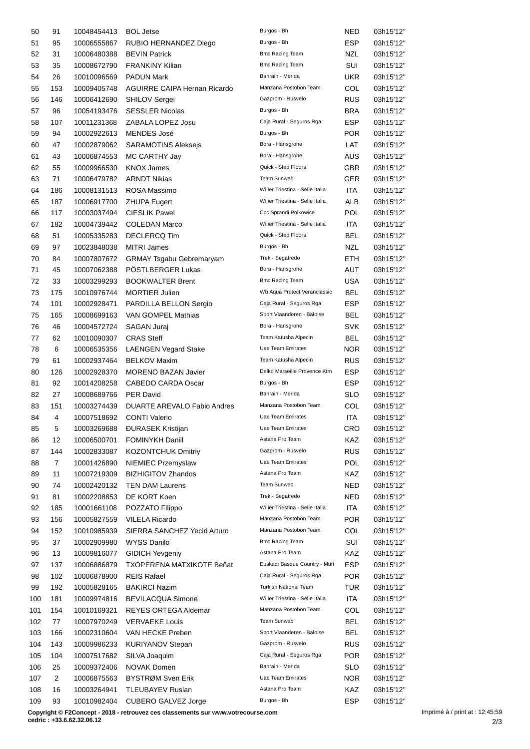| 50  | 91             | 10048454413 | <b>BOL Jetse</b>                    | Burgos - Bh                                              | NED        | 03h15'12" |
|-----|----------------|-------------|-------------------------------------|----------------------------------------------------------|------------|-----------|
| 51  | 95             | 10006555867 | RUBIO HERNANDEZ Diego               | Burgos - Bh                                              | <b>ESP</b> | 03h15'12" |
| 52  | 31             | 10006480388 | <b>BEVIN Patrick</b>                | <b>Bmc Racing Team</b>                                   | NZL        | 03h15'12" |
| 53  | 35             | 10008672790 | FRANKINY Kilian                     | <b>Bmc Racing Team</b>                                   | SUI        | 03h15'12" |
| 54  | 26             | 10010096569 | <b>PADUN Mark</b>                   | Bahrain - Merida                                         | UKR        | 03h15'12" |
| 55  | 153            | 10009405748 | <b>AGUIRRE CAIPA Hernan Ricardo</b> | Manzana Postobon Team                                    | COL        | 03h15'12" |
| 56  | 146            | 10006412690 | <b>SHILOV Sergei</b>                | Gazprom - Rusvelo                                        | <b>RUS</b> | 03h15'12" |
| 57  | 96             | 10054193476 | <b>SESSLER Nicolas</b>              | Burgos - Bh                                              | BRA        | 03h15'12" |
| 58  | 107            | 10011231368 | ZABALA LOPEZ Josu                   | Caja Rural - Seguros Rga                                 | <b>ESP</b> | 03h15'12" |
| 59  | 94             | 10002922613 | <b>MENDES José</b>                  | Burgos - Bh                                              | <b>POR</b> | 03h15'12" |
| 60  | 47             | 10002879062 | <b>SARAMOTINS Aleksejs</b>          | Bora - Hansgrohe                                         | LAT        | 03h15'12" |
| 61  | 43             | 10006874553 | MC CARTHY Jay                       | Bora - Hansgrohe                                         | AUS        | 03h15'12" |
| 62  | 55             | 10009966530 | <b>KNOX James</b>                   | Quick - Step Floors                                      | <b>GBR</b> | 03h15'12" |
| 63  | 71             | 10006479782 | <b>ARNDT Nikias</b>                 | Team Sunweb                                              | <b>GER</b> | 03h15'12" |
|     |                |             |                                     | Wilier Triestina - Selle Italia                          | ITA        |           |
| 64  | 186            | 10008131513 | ROSA Massimo                        | Wilier Triestina - Selle Italia                          |            | 03h15'12" |
| 65  | 187            | 10006917700 | <b>ZHUPA Eugert</b>                 |                                                          | ALB        | 03h15'12" |
| 66  | 117            | 10003037494 | <b>CIESLIK Pawel</b>                | Ccc Sprandi Polkowice<br>Wilier Triestina - Selle Italia | POL        | 03h15'12" |
| 67  | 182            | 10004739442 | <b>COLEDAN Marco</b>                |                                                          | <b>ITA</b> | 03h15'12" |
| 68  | 51             | 10005335283 | <b>DECLERCQ Tim</b>                 | Quick - Step Floors                                      | BEL        | 03h15'12" |
| 69  | 97             | 10023848038 | <b>MITRI James</b>                  | Burgos - Bh                                              | NZL        | 03h15'12" |
| 70  | 84             | 10007807672 | <b>GRMAY Tsgabu Gebremaryam</b>     | Trek - Segafredo                                         | ETH        | 03h15'12" |
| 71  | 45             | 10007062388 | POSTLBERGER Lukas                   | Bora - Hansgrohe                                         | AUT        | 03h15'12" |
| 72  | 33             | 10003299293 | <b>BOOKWALTER Brent</b>             | <b>Bmc Racing Team</b>                                   | USA        | 03h15'12" |
| 73  | 175            | 10010976744 | <b>MORTIER Julien</b>               | Wb Aqua Protect Veranclassic                             | BEL        | 03h15'12" |
| 74  | 101            | 10002928471 | PARDILLA BELLON Sergio              | Caja Rural - Seguros Rga                                 | <b>ESP</b> | 03h15'12" |
| 75  | 165            | 10008699163 | VAN GOMPEL Mathias                  | Sport Vlaanderen - Baloise                               | BEL.       | 03h15'12" |
| 76  | 46             | 10004572724 | SAGAN Juraj                         | Bora - Hansgrohe                                         | SVK        | 03h15'12" |
| 77  | 62             | 10010090307 | <b>CRAS Steff</b>                   | Team Katusha Alpecin                                     | BEL        | 03h15'12" |
| 78  | 6              | 10006535356 | <b>LAENGEN Vegard Stake</b>         | Uae Team Emirates                                        | <b>NOR</b> | 03h15'12" |
| 79  | 61             | 10002937464 | <b>BELKOV Maxim</b>                 | Team Katusha Alpecin                                     | <b>RUS</b> | 03h15'12" |
| 80  | 126            | 10002928370 | <b>MORENO BAZAN Javier</b>          | Delko Marseille Provence Ktm                             | ESP        | 03h15'12" |
| 81  | 92             | 10014208258 | <b>CABEDO CARDA Oscar</b>           | Burgos - Bh                                              | ESP.       | 03h15'12" |
| 82  | 27             | 10008689766 | <b>PER David</b>                    | Bahrain - Merida                                         | SLO        | 03h15'12" |
| 83  | 151            | 10003274439 | <b>DUARTE AREVALO Fabio Andres</b>  | Manzana Postobon Team                                    | COL        | 03h15'12" |
| 84  | 4              | 10007518692 | <b>CONTI Valerio</b>                | Uae Team Emirates                                        | ITA        | 03h15'12" |
| 85  | 5              | 10003269688 | <b>ĐURASEK Kristijan</b>            | Uae Team Emirates                                        | CRO        | 03h15'12" |
| 86  | 12             | 10006500701 | <b>FOMINYKH Daniil</b>              | Astana Pro Team                                          | KAZ        | 03h15'12" |
| 87  | 144            | 10002833087 | <b>KOZONTCHUK Dmitriy</b>           | Gazprom - Rusvelo                                        | <b>RUS</b> | 03h15'12" |
| 88  | 7              | 10001426890 | NIEMIEC Przemyslaw                  | Uae Team Emirates                                        | POL        | 03h15'12" |
| 89  | 11             | 10007219309 | <b>BIZHIGITOV Zhandos</b>           | Astana Pro Team                                          | KAZ        | 03h15'12" |
| 90  | 74             | 10002420132 | <b>TEN DAM Laurens</b>              | Team Sunweb                                              | NED        | 03h15'12" |
| 91  | 81             | 10002208853 | DE KORT Koen                        | Trek - Segafredo                                         | <b>NED</b> | 03h15'12" |
| 92  | 185            | 10001661108 | POZZATO Filippo                     | Wilier Triestina - Selle Italia                          | ITA        | 03h15'12" |
| 93  | 156            | 10005827559 | <b>VILELA Ricardo</b>               | Manzana Postobon Team                                    | <b>POR</b> | 03h15'12" |
| 94  | 152            | 10010985939 | SIERRA SANCHEZ Yecid Arturo         | Manzana Postobon Team                                    | COL        | 03h15'12" |
| 95  | 37             | 10002909980 | <b>WYSS Danilo</b>                  | <b>Bmc Racing Team</b>                                   | SUI        | 03h15'12" |
|     |                |             |                                     | Astana Pro Team                                          | KAZ        |           |
| 96  | 13             | 10009816077 | <b>GIDICH Yevgeniy</b>              | Euskadi Basque Country - Muri                            |            | 03h15'12" |
| 97  | 137            | 10006886879 | TXOPERENA MATXIKOTE Beñat           |                                                          | <b>ESP</b> | 03h15'12" |
| 98  | 102            | 10006878900 | <b>REIS Rafael</b>                  | Caja Rural - Seguros Rga                                 | <b>POR</b> | 03h15'12" |
| 99  | 192            | 10005828165 | <b>BAKIRCI Nazim</b>                | Turkish National Team                                    | <b>TUR</b> | 03h15'12" |
| 100 | 181            | 10009974816 | <b>BEVILACQUA Simone</b>            | Wilier Triestina - Selle Italia                          | ITA        | 03h15'12" |
| 101 | 154            | 10010169321 | REYES ORTEGA Aldemar                | Manzana Postobon Team                                    | COL        | 03h15'12" |
| 102 | 77             | 10007970249 | <b>VERVAEKE Louis</b>               | Team Sunweb                                              | <b>BEL</b> | 03h15'12" |
| 103 | 166            | 10002310604 | VAN HECKE Preben                    | Sport Vlaanderen - Baloise                               | <b>BEL</b> | 03h15'12" |
| 104 | 143            | 10009986233 | <b>KURIYANOV Stepan</b>             | Gazprom - Rusvelo                                        | <b>RUS</b> | 03h15'12" |
| 105 | 104            | 10007517682 | SILVA Joaquim                       | Caja Rural - Seguros Rga                                 | <b>POR</b> | 03h15'12" |
| 106 | 25             | 10009372406 | <b>NOVAK Domen</b>                  | Bahrain - Merida                                         | <b>SLO</b> | 03h15'12" |
| 107 | $\overline{2}$ | 10006875563 | BYSTRØM Sven Erik                   | Uae Team Emirates                                        | <b>NOR</b> | 03h15'12" |
| 108 | 16             | 10003264941 | <b>TLEUBAYEV Ruslan</b>             | Astana Pro Team                                          | KAZ        | 03h15'12" |
| 109 | 93             | 10010982404 | <b>CUBERO GALVEZ Jorge</b>          | Burgos - Bh                                              | <b>ESP</b> | 03h15'12" |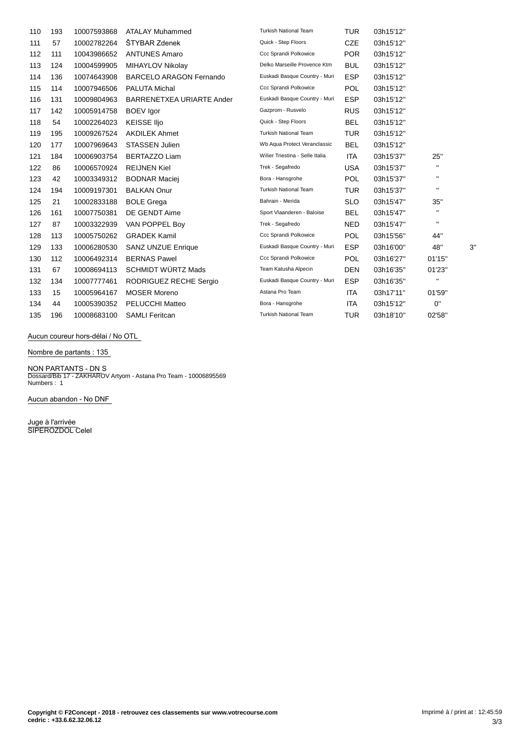| 110 | 193 | 10007593868 | <b>ATALAY Muhammed</b>         | <b>Turkish National Team</b>    | <b>TUR</b> | 03h15'12" |              |    |
|-----|-----|-------------|--------------------------------|---------------------------------|------------|-----------|--------------|----|
| 111 | 57  | 10002782264 | ŠTYBAR Zdenek                  | Quick - Step Floors             | <b>CZE</b> | 03h15'12" |              |    |
| 112 | 111 | 10043986652 | <b>ANTUNES Amaro</b>           | Ccc Sprandi Polkowice           | <b>POR</b> | 03h15'12" |              |    |
| 113 | 124 | 10004599905 | MIHAYLOV Nikolay               | Delko Marseille Provence Ktm    | <b>BUL</b> | 03h15'12" |              |    |
| 114 | 136 | 10074643908 | <b>BARCELO ARAGON Fernando</b> | Euskadi Basque Country - Muri   | <b>ESP</b> | 03h15'12" |              |    |
| 115 | 114 | 10007946506 | <b>PALUTA Michal</b>           | Ccc Sprandi Polkowice           | <b>POL</b> | 03h15'12" |              |    |
| 116 | 131 | 10009804963 | BARRENETXEA URIARTE Ander      | Euskadi Basque Country - Muri   | <b>ESP</b> | 03h15'12" |              |    |
| 117 | 142 | 10005914758 | <b>BOEV</b> Igor               | Gazprom - Rusvelo               | <b>RUS</b> | 03h15'12" |              |    |
| 118 | 54  | 10002264023 | <b>KEISSE IIjo</b>             | Quick - Step Floors             | <b>BEL</b> | 03h15'12" |              |    |
| 119 | 195 | 10009267524 | <b>AKDILEK Ahmet</b>           | <b>Turkish National Team</b>    | <b>TUR</b> | 03h15'12" |              |    |
| 120 | 177 | 10007969643 | <b>STASSEN Julien</b>          | Wb Aqua Protect Veranclassic    | <b>BEL</b> | 03h15'12" |              |    |
| 121 | 184 | 10006903754 | <b>BERTAZZO Liam</b>           | Wilier Triestina - Selle Italia | ITA        | 03h15'37" | 25"          |    |
| 122 | 86  | 10006570924 | <b>REIJNEN Kiel</b>            | Trek - Segafredo                | <b>USA</b> | 03h15'37" | $\mathbf{H}$ |    |
| 123 | 42  | 10003349312 | <b>BODNAR Maciej</b>           | Bora - Hansgrohe                | <b>POL</b> | 03h15'37" | $\mathbf{H}$ |    |
| 124 | 194 | 10009197301 | <b>BALKAN Onur</b>             | <b>Turkish National Team</b>    | <b>TUR</b> | 03h15'37" | $\mathbf{H}$ |    |
| 125 | 21  | 10002833188 | <b>BOLE Grega</b>              | Bahrain - Merida                | <b>SLO</b> | 03h15'47" | 35"          |    |
| 126 | 161 | 10007750381 | DE GENDT Aime                  | Sport Vlaanderen - Baloise      | <b>BEL</b> | 03h15'47" | $\mathbf{H}$ |    |
| 127 | 87  | 10003322939 | VAN POPPEL Boy                 | Trek - Segafredo                | <b>NED</b> | 03h15'47" | $\mathbf{H}$ |    |
| 128 | 113 | 10005750262 | <b>GRADEK Kamil</b>            | Ccc Sprandi Polkowice           | <b>POL</b> | 03h15'56" | 44"          |    |
| 129 | 133 | 10006280530 | <b>SANZ UNZUE Enrique</b>      | Euskadi Basque Country - Muri   | <b>ESP</b> | 03h16'00" | 48"          | 3' |
| 130 | 112 | 10006492314 | <b>BERNAS Pawel</b>            | Ccc Sprandi Polkowice           | <b>POL</b> | 03h16'27" | 01'15"       |    |
| 131 | 67  | 10008694113 | <b>SCHMIDT WÜRTZ Mads</b>      | Team Katusha Alpecin            | <b>DEN</b> | 03h16'35" | 01'23"       |    |
| 132 | 134 | 10007777461 | RODRIGUEZ RECHE Sergio         | Euskadi Basque Country - Muri   | <b>ESP</b> | 03h16'35" | $\mathbf{H}$ |    |
| 133 | 15  | 10005964167 | <b>MOSER Moreno</b>            | Astana Pro Team                 | <b>ITA</b> | 03h17'11" | 01'59"       |    |
| 134 | 44  | 10005390352 | <b>PELUCCHI Matteo</b>         | Bora - Hansgrohe                | <b>ITA</b> | 03h15'12" | 0"           |    |
| 135 | 196 | 10008683100 | <b>SAMLI Feritcan</b>          | <b>Turkish National Team</b>    | <b>TUR</b> | 03h18'10" | 02'58"       |    |

## **Aucun coureur hors-dÈlai / No OTL**

**Nombre de partants : 135**

# **NON PARTANTS - DN** S Dossard/Bib 17 - ZAKHAROV Artyom - Astana Pro Team - 10006895569 Numbers : 1

**Aucun abandon - No DNF**

**Juge à l'arrivée** SIPEROZDOL Celel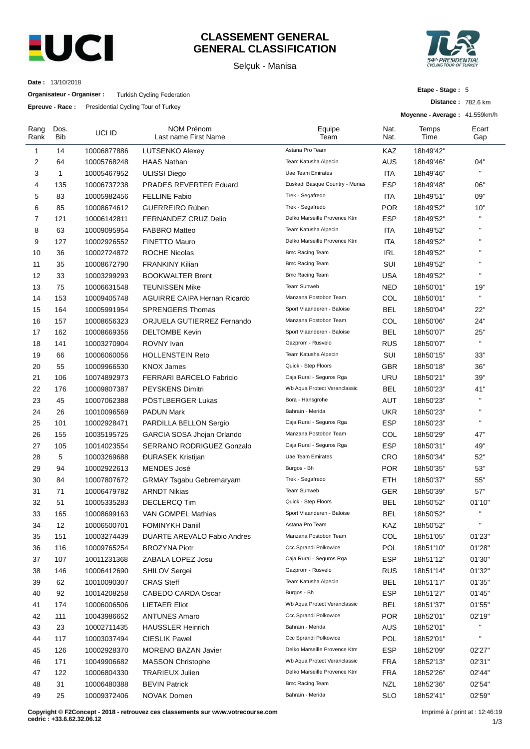

# **CLASSEMENT GENERAL GENERAL CLASSIFICATION**

Selçuk - Manisa



**Distance :** 782.6 km

**Etape - Stage :** 5

**Date :** 13/10/2018

**Organisateur - Organiser :** Turkish Cycling Federation

**Epreuve - Race :** Presidential Cycling Tour of Turkey

|                |             | $E$ <b>prodice</b> reade . The statistical expansion of ranker |                                           |                                 |              | Moyenne - Average: 41.559km/h |              |
|----------------|-------------|----------------------------------------------------------------|-------------------------------------------|---------------------------------|--------------|-------------------------------|--------------|
| Rang<br>Rank   | Dos.<br>Bib | UCI ID                                                         | <b>NOM Prénom</b><br>Last name First Name | Equipe<br>Team                  | Nat.<br>Nat. | Temps<br>Time                 | Ecart<br>Gap |
| 1              | 14          | 10006877886                                                    | <b>LUTSENKO Alexey</b>                    | Astana Pro Team                 | KAZ          | 18h49'42"                     |              |
| 2              | 64          | 10005768248                                                    | <b>HAAS Nathan</b>                        | Team Katusha Alpecin            | AUS          | 18h49'46"                     | 04"          |
| 3              | 1           | 10005467952                                                    | <b>ULISSI Diego</b>                       | Uae Team Emirates               | ITA          | 18h49'46"                     | $\mathbf{H}$ |
| 4              | 135         | 10006737238                                                    | <b>PRADES REVERTER Eduard</b>             | Euskadi Basque Country - Murias | <b>ESP</b>   | 18h49'48"                     | 06"          |
| 5              | 83          | 10005982456                                                    | <b>FELLINE Fabio</b>                      | Trek - Segafredo                | ITA          | 18h49'51"                     | 09"          |
| 6              | 85          | 10008674612                                                    | <b>GUERREIRO Rúben</b>                    | Trek - Segafredo                | <b>POR</b>   | 18h49'52"                     | 10"          |
| $\overline{7}$ | 121         | 10006142811                                                    | FERNANDEZ CRUZ Delio                      | Delko Marseille Provence Ktm    | <b>ESP</b>   | 18h49'52"                     | $\mathbf{H}$ |
| 8              | 63          | 10009095954                                                    | <b>FABBRO Matteo</b>                      | Team Katusha Alpecin            | ITA          | 18h49'52"                     | $\mathbf{H}$ |
| 9              | 127         | 10002926552                                                    | <b>FINETTO Mauro</b>                      | Delko Marseille Provence Ktm    | ITA          | 18h49'52"                     | $\mathbf{H}$ |
| 10             | 36          | 10002724872                                                    | <b>ROCHE Nicolas</b>                      | <b>Bmc Racing Team</b>          | IRL          | 18h49'52"                     | $\mathbf{H}$ |
| 11             | 35          | 10008672790                                                    | <b>FRANKINY Kilian</b>                    | <b>Bmc Racing Team</b>          | SUI          | 18h49'52"                     | $\mathbf{H}$ |
| 12             | 33          | 10003299293                                                    | <b>BOOKWALTER Brent</b>                   | Bmc Racing Team                 | USA          | 18h49'52"                     | H.           |
| 13             | 75          | 10006631548                                                    | <b>TEUNISSEN Mike</b>                     | Team Sunweb                     | <b>NED</b>   | 18h50'01"                     | 19"          |
| 14             | 153         | 10009405748                                                    | <b>AGUIRRE CAIPA Hernan Ricardo</b>       | Manzana Postobon Team           | COL          | 18h50'01"                     | $\mathbf{H}$ |
| 15             | 164         | 10005991954                                                    | <b>SPRENGERS Thomas</b>                   | Sport Vlaanderen - Baloise      | <b>BEL</b>   | 18h50'04"                     | 22"          |
| 16             | 157         | 10008656323                                                    | ORJUELA GUTIERREZ Fernando                | Manzana Postobon Team           | COL          | 18h50'06"                     | 24"          |
| 17             | 162         | 10008669356                                                    | <b>DELTOMBE Kevin</b>                     | Sport Vlaanderen - Baloise      | <b>BEL</b>   | 18h50'07"                     | 25"          |
| 18             | 141         | 10003270904                                                    | ROVNY Ivan                                | Gazprom - Rusvelo               | <b>RUS</b>   | 18h50'07"                     | $\mathbf{H}$ |
| 19             | 66          | 10006060056                                                    | <b>HOLLENSTEIN Reto</b>                   | Team Katusha Alpecin            | SUI          | 18h50'15"                     | 33"          |
| 20             | 55          | 10009966530                                                    | <b>KNOX James</b>                         | Quick - Step Floors             | GBR          | 18h50'18"                     | 36"          |
| 21             | 106         | 10074892973                                                    | <b>FERRARI BARCELO Fabricio</b>           | Caja Rural - Seguros Rga        | URU          | 18h50'21"                     | 39"          |
| 22             | 176         | 10009807387                                                    | PEYSKENS Dimitri                          | Wb Aqua Protect Veranclassic    | <b>BEL</b>   | 18h50'23"                     | 41"          |
| 23             | 45          | 10007062388                                                    | PÖSTLBERGER Lukas                         | Bora - Hansgrohe                | AUT          | 18h50'23"                     | H.           |
| 24             | 26          | 10010096569                                                    | <b>PADUN Mark</b>                         | Bahrain - Merida                | <b>UKR</b>   | 18h50'23"                     | $\mathbf{H}$ |
| 25             | 101         | 10002928471                                                    | PARDILLA BELLON Sergio                    | Caja Rural - Seguros Rga        | <b>ESP</b>   | 18h50'23"                     | H.           |
| 26             | 155         | 10035195725                                                    | GARCIA SOSA Jhojan Orlando                | Manzana Postobon Team           | COL          | 18h50'29"                     | 47"          |
| 27             | 105         | 10014023554                                                    | SERRANO RODRIGUEZ Gonzalo                 | Caja Rural - Seguros Rga        | <b>ESP</b>   | 18h50'31"                     | 49"          |
| 28             | 5           | 10003269688                                                    | <b>ĐURASEK Kristijan</b>                  | Uae Team Emirates               | CRO          | 18h50'34"                     | 52"          |
| 29             | 94          | 10002922613                                                    | <b>MENDES José</b>                        | Burgos - Bh                     | <b>POR</b>   | 18h50'35"                     | 53"          |
| 30             | 84          | 10007807672                                                    | <b>GRMAY Tsgabu Gebremaryam</b>           | Trek - Segafredo                | ETH          | 18h50'37"                     | 55"          |
| 31             | 71          | 10006479782                                                    | <b>ARNDT Nikias</b>                       | Team Sunweb                     | GER          | 18h50'39"                     | 57"          |
| 32             | 51          | 10005335283                                                    | <b>DECLERCQ Tim</b>                       | Quick - Step Floors             | BEL          | 18h50'52"                     | 01'10"       |
| 33             | 165         | 10008699163                                                    | VAN GOMPEL Mathias                        | Sport Vlaanderen - Baloise      | <b>BEL</b>   | 18h50'52"                     | н.           |
| 34             | 12          | 10006500701                                                    | <b>FOMINYKH Daniil</b>                    | Astana Pro Team                 | KAZ          | 18h50'52"                     | Ħ            |
| 35             | 151         | 10003274439                                                    | DUARTE AREVALO Fabio Andres               | Manzana Postobon Team           | COL          | 18h51'05"                     | 01'23"       |
| 36             | 116         | 10009765254                                                    | <b>BROZYNA Piotr</b>                      | Ccc Sprandi Polkowice           | POL          | 18h51'10"                     | 01'28"       |
| 37             | 107         | 10011231368                                                    | ZABALA LOPEZ Josu                         | Caja Rural - Seguros Rga        | <b>ESP</b>   | 18h51'12"                     | 01'30"       |
| 38             | 146         | 10006412690                                                    | <b>SHILOV Sergei</b>                      | Gazprom - Rusvelo               | <b>RUS</b>   | 18h51'14"                     | 01'32"       |
| 39             | 62          | 10010090307                                                    | <b>CRAS Steff</b>                         | Team Katusha Alpecin            | <b>BEL</b>   | 18h51'17"                     | 01'35"       |
| 40             | 92          | 10014208258                                                    | CABEDO CARDA Oscar                        | Burgos - Bh                     | <b>ESP</b>   | 18h51'27"                     | 01'45"       |
| 41             | 174         | 10006006506                                                    | <b>LIETAER Eliot</b>                      | Wb Aqua Protect Veranclassic    | <b>BEL</b>   | 18h51'37"                     | 01'55"       |
| 42             | 111         | 10043986652                                                    | <b>ANTUNES Amaro</b>                      | Ccc Sprandi Polkowice           | <b>POR</b>   | 18h52'01"                     | 02'19"       |
| 43             | 23          | 10002711435                                                    | <b>HAUSSLER Heinrich</b>                  | Bahrain - Merida                | <b>AUS</b>   | 18h52'01"                     | $\mathbf{H}$ |
| 44             | 117         | 10003037494                                                    | <b>CIESLIK Pawel</b>                      | Ccc Sprandi Polkowice           | POL          | 18h52'01"                     | $\mathbf{u}$ |
| 45             | 126         | 10002928370                                                    | <b>MORENO BAZAN Javier</b>                | Delko Marseille Provence Ktm    | <b>ESP</b>   | 18h52'09"                     | 02'27"       |
| 46             | 171         | 10049906682                                                    | <b>MASSON Christophe</b>                  | Wb Aqua Protect Veranclassic    | <b>FRA</b>   | 18h52'13"                     | 02'31"       |
| 47             | 122         | 10006804330                                                    | <b>TRARIEUX Julien</b>                    | Delko Marseille Provence Ktm    | <b>FRA</b>   | 18h52'26"                     | 02'44"       |
| 48             | 31          | 10006480388                                                    | <b>BEVIN Patrick</b>                      | <b>Bmc Racing Team</b>          | <b>NZL</b>   | 18h52'36"                     | 02'54"       |
| 49             | 25          | 10009372406                                                    | NOVAK Domen                               | Bahrain - Merida                | <b>SLO</b>   | 18h52'41"                     | 02'59"       |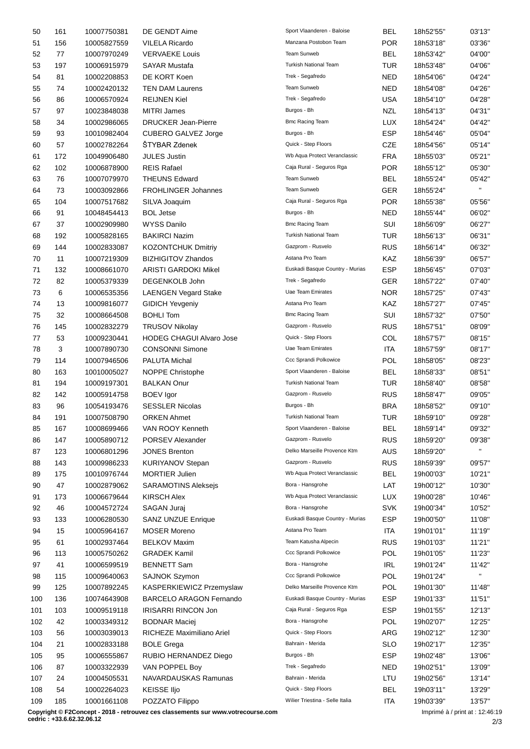| 50  | 161 | 10007750381 | DE GENDT Aime                   | Sport Vlaanderen - Baloise      | <b>BEL</b> | 18h52'55" | 03'13"                   |
|-----|-----|-------------|---------------------------------|---------------------------------|------------|-----------|--------------------------|
| 51  | 156 | 10005827559 | <b>VILELA Ricardo</b>           | Manzana Postobon Team           | <b>POR</b> | 18h53'18" | 03'36"                   |
| 52  | 77  | 10007970249 | <b>VERVAEKE Louis</b>           | Team Sunweb                     | <b>BEL</b> | 18h53'42" | 04'00"                   |
| 53  | 197 | 10006915979 | <b>SAYAR Mustafa</b>            | <b>Turkish National Team</b>    | <b>TUR</b> | 18h53'48" | 04'06"                   |
| 54  | 81  | 10002208853 | DE KORT Koen                    | Trek - Segafredo                | <b>NED</b> | 18h54'06" | 04'24"                   |
| 55  | 74  | 10002420132 | <b>TEN DAM Laurens</b>          | Team Sunweb                     | <b>NED</b> | 18h54'08" | 04'26"                   |
| 56  | 86  | 10006570924 | <b>REIJNEN Kiel</b>             | Trek - Segafredo                | <b>USA</b> | 18h54'10" | 04'28"                   |
| 57  | 97  | 10023848038 | <b>MITRI James</b>              | Burgos - Bh                     | NZL        | 18h54'13" | 04'31"                   |
| 58  | 34  | 10002986065 | <b>DRUCKER Jean-Pierre</b>      | <b>Bmc Racing Team</b>          | <b>LUX</b> | 18h54'24" | 04'42"                   |
| 59  | 93  | 10010982404 | <b>CUBERO GALVEZ Jorge</b>      | Burgos - Bh                     | <b>ESP</b> | 18h54'46" | 05'04"                   |
| 60  | 57  | 10002782264 | <b>STYBAR Zdenek</b>            | Quick - Step Floors             | <b>CZE</b> | 18h54'56" | 05'14"                   |
| 61  | 172 | 10049906480 | <b>JULES Justin</b>             | Wb Aqua Protect Veranclassic    | <b>FRA</b> | 18h55'03" | 05'21"                   |
|     | 102 |             | <b>REIS Rafael</b>              | Caja Rural - Seguros Rga        | <b>POR</b> | 18h55'12" | 05'30"                   |
| 62  |     | 10006878900 |                                 | Team Sunweb                     |            |           |                          |
| 63  | 76  | 10007079970 | <b>THEUNS Edward</b>            |                                 | <b>BEL</b> | 18h55'24" | 05'42"<br>$\mathbf{H}$ . |
| 64  | 73  | 10003092866 | <b>FROHLINGER Johannes</b>      | Team Sunweb                     | <b>GER</b> | 18h55'24" |                          |
| 65  | 104 | 10007517682 | SILVA Joaquim                   | Caja Rural - Seguros Rga        | POR        | 18h55'38" | 05'56"                   |
| 66  | 91  | 10048454413 | <b>BOL Jetse</b>                | Burgos - Bh                     | <b>NED</b> | 18h55'44" | 06'02"                   |
| 67  | 37  | 10002909980 | <b>WYSS Danilo</b>              | <b>Bmc Racing Team</b>          | SUI        | 18h56'09" | 06'27"                   |
| 68  | 192 | 10005828165 | <b>BAKIRCI Nazim</b>            | Turkish National Team           | <b>TUR</b> | 18h56'13" | 06'31"                   |
| 69  | 144 | 10002833087 | KOZONTCHUK Dmitriy              | Gazprom - Rusvelo               | <b>RUS</b> | 18h56'14" | 06'32"                   |
| 70  | 11  | 10007219309 | <b>BIZHIGITOV Zhandos</b>       | Astana Pro Team                 | KAZ        | 18h56'39" | 06'57"                   |
| 71  | 132 | 10008661070 | <b>ARISTI GARDOKI Mikel</b>     | Euskadi Basque Country - Murias | <b>ESP</b> | 18h56'45" | 07'03"                   |
| 72  | 82  | 10005379339 | DEGENKOLB John                  | Trek - Segafredo                | <b>GER</b> | 18h57'22" | 07'40"                   |
| 73  | 6   | 10006535356 | <b>LAENGEN Vegard Stake</b>     | <b>Uae Team Emirates</b>        | NOR.       | 18h57'25" | 07'43"                   |
| 74  | 13  | 10009816077 | <b>GIDICH Yevgeniy</b>          | Astana Pro Team                 | KAZ        | 18h57'27" | 07'45"                   |
| 75  | 32  | 10008664508 | <b>BOHLI Tom</b>                | <b>Bmc Racing Team</b>          | SUI        | 18h57'32" | 07'50"                   |
| 76  | 145 | 10002832279 | <b>TRUSOV Nikolay</b>           | Gazprom - Rusvelo               | <b>RUS</b> | 18h57'51" | 08'09"                   |
| 77  | 53  | 10009230441 | <b>HODEG CHAGUI Alvaro Jose</b> | Quick - Step Floors             | COL        | 18h57'57" | 08'15"                   |
| 78  | 3   | 10007890730 | <b>CONSONNI Simone</b>          | Uae Team Emirates               | <b>ITA</b> | 18h57'59" | 08'17"                   |
| 79  | 114 | 10007946506 | PALUTA Michal                   | Ccc Sprandi Polkowice           | POL        | 18h58'05" | 08'23"                   |
| 80  | 163 | 10010005027 | NOPPE Christophe                | Sport Vlaanderen - Baloise      | <b>BEL</b> | 18h58'33" | 08'51"                   |
| 81  | 194 | 10009197301 | <b>BALKAN Onur</b>              | Turkish National Team           | TUR        | 18h58'40" | 08'58"                   |
| 82  | 142 | 10005914758 | <b>BOEV</b> Igor                | Gazprom - Rusvelo               | <b>RUS</b> | 18h58'47" | 09'05"                   |
| 83  | 96  | 10054193476 | <b>SESSLER Nicolas</b>          | Burgos - Bh                     | <b>BRA</b> | 18h58'52" | 09'10"                   |
|     |     |             |                                 | Turkish National Team           | TUR        | 18h59'10" | 09'28"                   |
| 84  | 191 | 10007508790 | <b>ORKEN Ahmet</b>              | Sport Vlaanderen - Baloise      |            |           |                          |
| 85  | 167 | 10008699466 | VAN ROOY Kenneth                |                                 | <b>BEL</b> | 18h59'14" | 09'32"                   |
| 86  | 147 | 10005890712 | PORSEV Alexander                | Gazprom - Rusvelo               | <b>RUS</b> | 18h59'20" | 09'38"<br>$\mathbf{H}$   |
| 87  | 123 | 10006801296 | <b>JONES Brenton</b>            | Delko Marseille Provence Ktm    | <b>AUS</b> | 18h59'20" |                          |
| 88  | 143 | 10009986233 | <b>KURIYANOV Stepan</b>         | Gazprom - Rusvelo               | <b>RUS</b> | 18h59'39" | 09'57"                   |
| 89  | 175 | 10010976744 | <b>MORTIER Julien</b>           | Wb Aqua Protect Veranclassic    | <b>BEL</b> | 19h00'03" | 10'21"                   |
| 90  | 47  | 10002879062 | <b>SARAMOTINS Aleksejs</b>      | Bora - Hansgrohe                | LAT        | 19h00'12" | 10'30"                   |
| 91  | 173 | 10006679644 | <b>KIRSCH Alex</b>              | Wb Aqua Protect Veranclassic    | <b>LUX</b> | 19h00'28" | 10'46"                   |
| 92  | 46  | 10004572724 | SAGAN Juraj                     | Bora - Hansgrohe                | <b>SVK</b> | 19h00'34" | 10'52"                   |
| 93  | 133 | 10006280530 | <b>SANZ UNZUE Enrique</b>       | Euskadi Basque Country - Murias | <b>ESP</b> | 19h00'50" | 11'08"                   |
| 94  | 15  | 10005964167 | <b>MOSER Moreno</b>             | Astana Pro Team                 | ITA        | 19h01'01" | 11'19"                   |
| 95  | 61  | 10002937464 | <b>BELKOV Maxim</b>             | Team Katusha Alpecin            | <b>RUS</b> | 19h01'03" | 11'21"                   |
| 96  | 113 | 10005750262 | <b>GRADEK Kamil</b>             | Ccc Sprandi Polkowice           | <b>POL</b> | 19h01'05" | 11'23"                   |
| 97  | 41  | 10006599519 | <b>BENNETT Sam</b>              | Bora - Hansgrohe                | IRL        | 19h01'24" | 11'42"                   |
| 98  | 115 | 10009640063 | SAJNOK Szymon                   | Ccc Sprandi Polkowice           | <b>POL</b> | 19h01'24" |                          |
| 99  | 125 | 10007892245 | KASPERKIEWICZ Przemyslaw        | Delko Marseille Provence Ktm    | POL        | 19h01'30" | 11'48"                   |
| 100 | 136 | 10074643908 | <b>BARCELO ARAGON Fernando</b>  | Euskadi Basque Country - Murias | ESP        | 19h01'33" | 11'51"                   |
| 101 | 103 | 10009519118 | <b>IRISARRI RINCON Jon</b>      | Caja Rural - Seguros Rga        | <b>ESP</b> | 19h01'55" | 12'13"                   |
| 102 | 42  | 10003349312 | <b>BODNAR Maciej</b>            | Bora - Hansgrohe                | POL        | 19h02'07" | 12'25"                   |
| 103 | 56  | 10003039013 | RICHEZE Maximiliano Ariel       | Quick - Step Floors             | ARG        | 19h02'12" | 12'30"                   |
| 104 | 21  | 10002833188 | <b>BOLE Grega</b>               | Bahrain - Merida                | <b>SLO</b> | 19h02'17" | 12'35"                   |
|     |     |             | RUBIO HERNANDEZ Diego           | Burgos - Bh                     | <b>ESP</b> |           | 13'06"                   |
| 105 | 95  | 10006555867 |                                 | Trek - Segafredo                |            | 19h02'48" |                          |
| 106 | 87  | 10003322939 | VAN POPPEL Boy                  |                                 | <b>NED</b> | 19h02'51" | 13'09"                   |
| 107 | 24  | 10004505531 | NAVARDAUSKAS Ramunas            | Bahrain - Merida                | LTU        | 19h02'56" | 13'14"                   |
| 108 | 54  | 10002264023 | <b>KEISSE IIjo</b>              | Quick - Step Floors             | <b>BEL</b> | 19h03'11" | 13'29"                   |
| 109 | 185 | 10001661108 | POZZATO Filippo                 | Wilier Triestina - Selle Italia | <b>ITA</b> | 19h03'39" | 13'57"                   |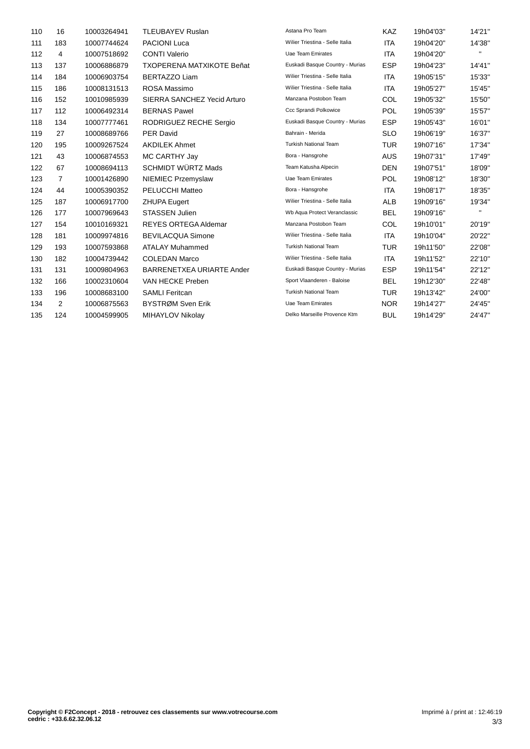| 110 | 16             | 10003264941 | <b>TLEUBAYEV Ruslan</b>          | Astana Pro Team                 | KAZ        | 19h04'03" | 14'21"       |
|-----|----------------|-------------|----------------------------------|---------------------------------|------------|-----------|--------------|
| 111 | 183            | 10007744624 | <b>PACIONI Luca</b>              | Wilier Triestina - Selle Italia | <b>ITA</b> | 19h04'20" | 14'38"       |
| 112 | 4              | 10007518692 | <b>CONTI Valerio</b>             | Uae Team Emirates               | ITA        | 19h04'20" | $\mathbf{H}$ |
| 113 | 137            | 10006886879 | <b>TXOPERENA MATXIKOTE Beñat</b> | Euskadi Basque Country - Murias | <b>ESP</b> | 19h04'23" | 14'41"       |
| 114 | 184            | 10006903754 | <b>BERTAZZO Liam</b>             | Wilier Triestina - Selle Italia | <b>ITA</b> | 19h05'15" | 15'33"       |
| 115 | 186            | 10008131513 | ROSA Massimo                     | Wilier Triestina - Selle Italia | <b>ITA</b> | 19h05'27" | 15'45"       |
| 116 | 152            | 10010985939 | SIERRA SANCHEZ Yecid Arturo      | Manzana Postobon Team           | COL        | 19h05'32" | 15'50"       |
| 117 | 112            | 10006492314 | <b>BERNAS Pawel</b>              | Ccc Sprandi Polkowice           | <b>POL</b> | 19h05'39" | 15'57"       |
| 118 | 134            | 10007777461 | RODRIGUEZ RECHE Sergio           | Euskadi Basque Country - Murias | <b>ESP</b> | 19h05'43" | 16'01"       |
| 119 | 27             | 10008689766 | <b>PER David</b>                 | Bahrain - Merida                | <b>SLO</b> | 19h06'19" | 16'37"       |
| 120 | 195            | 10009267524 | <b>AKDILEK Ahmet</b>             | <b>Turkish National Team</b>    | <b>TUR</b> | 19h07'16" | 17'34"       |
| 121 | 43             | 10006874553 | MC CARTHY Jay                    | Bora - Hansgrohe                | <b>AUS</b> | 19h07'31" | 17'49"       |
| 122 | 67             | 10008694113 | <b>SCHMIDT WÜRTZ Mads</b>        | Team Katusha Alpecin            | <b>DEN</b> | 19h07'51" | 18'09"       |
| 123 | $\overline{7}$ | 10001426890 | NIEMIEC Przemyslaw               | Uae Team Emirates               | <b>POL</b> | 19h08'12" | 18'30"       |
| 124 | 44             | 10005390352 | <b>PELUCCHI Matteo</b>           | Bora - Hansgrohe                | <b>ITA</b> | 19h08'17" | 18'35"       |
| 125 | 187            | 10006917700 | <b>ZHUPA Eugert</b>              | Wilier Triestina - Selle Italia | <b>ALB</b> | 19h09'16" | 19'34"       |
| 126 | 177            | 10007969643 | <b>STASSEN Julien</b>            | Wb Aqua Protect Veranclassic    | <b>BEL</b> | 19h09'16" | п.           |
| 127 | 154            | 10010169321 | <b>REYES ORTEGA Aldemar</b>      | Manzana Postobon Team           | COL        | 19h10'01" | 20'19"       |
| 128 | 181            | 10009974816 | <b>BEVILACQUA Simone</b>         | Wilier Triestina - Selle Italia | ITA        | 19h10'04" | 20'22"       |
| 129 | 193            | 10007593868 | <b>ATALAY Muhammed</b>           | <b>Turkish National Team</b>    | <b>TUR</b> | 19h11'50" | 22'08"       |
| 130 | 182            | 10004739442 | <b>COLEDAN Marco</b>             | Wilier Triestina - Selle Italia | <b>ITA</b> | 19h11'52" | 22'10"       |
| 131 | 131            | 10009804963 | BARRENETXEA URIARTE Ander        | Euskadi Basque Country - Murias | <b>ESP</b> | 19h11'54" | 22'12"       |
| 132 | 166            | 10002310604 | VAN HECKE Preben                 | Sport Vlaanderen - Baloise      | <b>BEL</b> | 19h12'30" | 22'48"       |
| 133 | 196            | 10008683100 | <b>SAMLI Feritcan</b>            | <b>Turkish National Team</b>    | <b>TUR</b> | 19h13'42" | 24'00"       |
| 134 | 2              | 10006875563 | BYSTRØM Sven Erik                | Uae Team Emirates               | <b>NOR</b> | 19h14'27" | 24'45"       |
| 135 | 124            | 10004599905 | MIHAYLOV Nikolay                 | Delko Marseille Provence Ktm    | <b>BUL</b> | 19h14'29" | 24'47"       |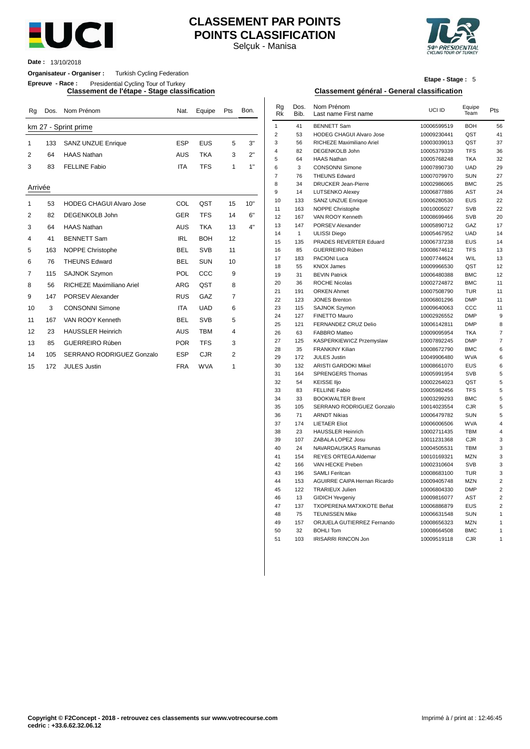

# **CLASSEMENT PAR POINTS POINTS CLASSIFICATION**

Selçuk - Manisa



**Date :** 13/10/2018

**Organisateur - Organiser :** Turkish Cycling Federation

**Epreuve - Race :** Presidential Cycling Tour of Turkey

**Classement de l'étape - Stage classification Classement général - General classification**

| Rg          | Dos. | Nom Prénom                      | Nat.       | Equipe     | Pts | Bon. | Rg<br><b>Rk</b> | Dos.<br>Bib. | Nom Prénom<br>Last name First name           | UCI ID                     | Equipe<br>Team           | Pts            |
|-------------|------|---------------------------------|------------|------------|-----|------|-----------------|--------------|----------------------------------------------|----------------------------|--------------------------|----------------|
|             |      | km 27 - Sprint prime            |            |            |     |      | $\mathbf{1}$    | 41           | <b>BENNETT Sam</b>                           | 10006599519                | <b>BOH</b>               | 56             |
|             |      |                                 |            |            |     |      | 2               | 53           | <b>HODEG CHAGUI Alvaro Jose</b>              | 10009230441                | QST                      | 41             |
| $\mathbf 1$ | 133  | <b>SANZ UNZUE Enrique</b>       | <b>ESP</b> | <b>EUS</b> | 5   | 3"   | 3               | 56           | RICHEZE Maximiliano Ariel                    | 10003039013                | QST                      | 37             |
| 2           | 64   | <b>HAAS Nathan</b>              | <b>AUS</b> | <b>TKA</b> | 3   | 2"   | $\overline{4}$  | 82           | DEGENKOLB John                               | 10005379339                | <b>TFS</b>               | 36             |
|             |      |                                 |            |            |     |      | 5               | 64           | <b>HAAS Nathan</b>                           | 10005768248                | <b>TKA</b>               | 32             |
| 3           | 83   | <b>FELLINE Fabio</b>            | <b>ITA</b> | <b>TFS</b> | 1   | 1"   | 6               | 3            | <b>CONSONNI Simone</b>                       | 10007890730                | <b>UAD</b>               | 29             |
|             |      |                                 |            |            |     |      | $\overline{7}$  | 76           | <b>THEUNS Edward</b>                         | 10007079970                | <b>SUN</b>               | 27             |
| Arrivée     |      |                                 |            |            |     |      | 8               | 34           | <b>DRUCKER Jean-Pierre</b>                   | 10002986065                | <b>BMC</b>               | 25             |
|             |      |                                 |            |            |     |      | 9               | 14           | <b>LUTSENKO Alexey</b>                       | 10006877886                | <b>AST</b>               | 2 <sup>2</sup> |
| $\mathbf 1$ | 53   | <b>HODEG CHAGUI Alvaro Jose</b> | COL        | QST        | 15  | 10"  | 10              | 133          | <b>SANZ UNZUE Enrique</b>                    | 10006280530                | EUS                      | 22             |
|             |      |                                 |            |            |     |      | 11              | 163          | NOPPE Christophe                             | 10010005027                | <b>SVB</b>               | 22             |
| 2           | 82   | <b>DEGENKOLB John</b>           | <b>GER</b> | <b>TFS</b> | 14  | 6"   | 12              | 167          | VAN ROOY Kenneth                             | 10008699466                | <b>SVB</b>               | 20             |
| 3           | 64   | <b>HAAS Nathan</b>              | <b>AUS</b> | <b>TKA</b> | 13  | 4"   | 13              | 147          | PORSEV Alexander                             | 10005890712                | GAZ                      | 17             |
| 4           | 41   | <b>BENNETT Sam</b>              | <b>IRL</b> | <b>BOH</b> | 12  |      | 14              | $\mathbf{1}$ | <b>ULISSI Diego</b>                          | 10005467952                | <b>UAD</b>               | 14             |
|             |      |                                 |            |            |     |      | 15              | 135          | PRADES REVERTER Eduard                       | 10006737238                | EUS                      | 14             |
| 5           | 163  | <b>NOPPE Christophe</b>         | <b>BEL</b> | <b>SVB</b> | 11  |      | 16              | 85           | GUERREIRO Rúben                              | 10008674612                | <b>TFS</b>               | 13             |
| 6           | 76   | <b>THEUNS Edward</b>            | <b>BEL</b> | <b>SUN</b> | 10  |      | 17              | 183          | <b>PACIONI Luca</b>                          | 10007744624                | WIL                      | 13             |
| 7           | 115  | <b>SAJNOK Szymon</b>            | POL        | CCC        | 9   |      | 18              | 55           | <b>KNOX James</b>                            | 10009966530                | QST                      | 12             |
|             |      |                                 |            |            |     |      | 19              | 31<br>36     | <b>BEVIN Patrick</b><br><b>ROCHE Nicolas</b> | 10006480388                | <b>BMC</b><br><b>BMC</b> | 12             |
| 8           | 56   | RICHEZE Maximiliano Ariel       | <b>ARG</b> | QST        | 8   |      | 20<br>21        | 191          | <b>ORKEN Ahmet</b>                           | 10002724872<br>10007508790 | <b>TUR</b>               | 11<br>11       |
| 9           | 147  | PORSEV Alexander                | <b>RUS</b> | GAZ        | 7   |      | 22              | 123          | <b>JONES Brenton</b>                         | 10006801296                | <b>DMP</b>               | 11             |
| 10          | 3    | <b>CONSONNI Simone</b>          | <b>ITA</b> | <b>UAD</b> | 6   |      | 23              | 115          | <b>SAJNOK Szymon</b>                         | 10009640063                | CCC                      | 11             |
|             |      |                                 |            |            |     |      | 24              | 127          | <b>FINETTO Mauro</b>                         | 10002926552                | <b>DMP</b>               |                |
| 11          | 167  | VAN ROOY Kenneth                | <b>BEL</b> | <b>SVB</b> | 5   |      | 25              | 121          | FERNANDEZ CRUZ Delio                         | 10006142811                | <b>DMP</b>               |                |
| 12          | 23   | <b>HAUSSLER Heinrich</b>        | <b>AUS</b> | <b>TBM</b> | 4   |      | 26              | 63           | <b>FABBRO Matteo</b>                         | 10009095954                | <b>TKA</b>               |                |
| 13          | 85   | <b>GUERREIRO Rúben</b>          | <b>POR</b> | <b>TFS</b> | 3   |      | 27              | 125          | KASPERKIEWICZ Przemyslaw                     | 10007892245                | <b>DMP</b>               |                |
|             |      |                                 |            |            |     |      | 28              | 35           | <b>FRANKINY Kilian</b>                       | 10008672790                | <b>BMC</b>               |                |
| 14          | 105  | SERRANO RODRIGUEZ Gonzalo       | <b>ESP</b> | <b>CJR</b> | 2   |      | 29              | 172          | <b>JULES Justin</b>                          | 10049906480                | <b>WVA</b>               |                |
| 15          | 172  | <b>JULES Justin</b>             | <b>FRA</b> | <b>WVA</b> | 1   |      | 30              | 132          | <b>ARISTI GARDOKI Mikel</b>                  | 10008661070                | <b>EUS</b>               |                |

**Etape - Stage :** 5

| Rg |         | Dos. Nom Prénom                 | Nat.       | Equipe     | Pts            | Bon. | Rg<br>Rk       | Dos.<br>Bib. | Nom Prénom<br>Last name First name                 | UCI ID                     | Equipe<br>Team           | Pts |
|----|---------|---------------------------------|------------|------------|----------------|------|----------------|--------------|----------------------------------------------------|----------------------------|--------------------------|-----|
|    |         | km 27 - Sprint prime            |            |            |                |      | $\mathbf{1}$   | 41           | <b>BENNETT Sam</b>                                 | 10006599519                | <b>BOH</b>               |     |
|    |         |                                 |            |            |                |      | $\overline{2}$ | 53           | <b>HODEG CHAGUI Alvaro Jose</b>                    | 10009230441                | QST                      |     |
|    | 133     | <b>SANZ UNZUE Enrique</b>       | <b>ESP</b> | <b>EUS</b> | 5              | 3"   | 3              | 56           | RICHEZE Maximiliano Ariel                          | 10003039013                | QST                      |     |
|    | 64      | <b>HAAS Nathan</b>              | AUS        | <b>TKA</b> | 3              | 2"   | 4              | 82           | DEGENKOLB John                                     | 10005379339                | <b>TFS</b>               |     |
|    | 83      | <b>FELLINE Fabio</b>            | <b>ITA</b> | <b>TFS</b> | $\mathbf{1}$   | 1"   | 5              | 64           | <b>HAAS Nathan</b>                                 | 10005768248                | <b>TKA</b>               |     |
|    |         |                                 |            |            |                |      | 6              | 3            | <b>CONSONNI Simone</b>                             | 10007890730                | <b>UAD</b>               |     |
|    |         |                                 |            |            |                |      | 7<br>8         | 76<br>34     | <b>THEUNS Edward</b><br><b>DRUCKER Jean-Pierre</b> | 10007079970                | <b>SUN</b><br><b>BMC</b> |     |
|    | Arrivée |                                 |            |            |                |      | 9              | 14           | <b>LUTSENKO Alexey</b>                             | 10002986065<br>10006877886 | AST                      |     |
|    |         |                                 |            |            |                |      | 10             | 133          | SANZ UNZUE Enrique                                 | 10006280530                | <b>EUS</b>               |     |
|    | 53      | <b>HODEG CHAGUI Alvaro Jose</b> | COL        | QST        | 15             | 10"  | 11             | 163          | <b>NOPPE Christophe</b>                            | 10010005027                | <b>SVB</b>               |     |
|    | 82      | DEGENKOLB John                  | <b>GER</b> | <b>TFS</b> | 14             | 6"   | 12             | 167          | VAN ROOY Kenneth                                   | 10008699466                | <b>SVB</b>               |     |
|    | 64      | <b>HAAS Nathan</b>              | AUS        | <b>TKA</b> | 13             | 4"   | 13             | 147          | PORSEV Alexander                                   | 10005890712                | GAZ                      |     |
|    |         |                                 |            |            |                |      | 14             | $\mathbf{1}$ | <b>ULISSI Diego</b>                                | 10005467952                | <b>UAD</b>               |     |
|    | 41      | <b>BENNETT Sam</b>              | <b>IRL</b> | <b>BOH</b> | 12             |      | 15             | 135          | PRADES REVERTER Eduard                             | 10006737238                | <b>EUS</b>               |     |
|    | 163     | <b>NOPPE Christophe</b>         | <b>BEL</b> | <b>SVB</b> | 11             |      | 16             | 85           | GUERREIRO Rúben                                    | 10008674612                | <b>TFS</b>               |     |
|    | 76      | <b>THEUNS Edward</b>            | <b>BEL</b> | <b>SUN</b> | 10             |      | 17             | 183          | <b>PACIONI Luca</b>                                | 10007744624                | WIL                      |     |
|    |         |                                 |            |            |                |      | 18             | 55           | <b>KNOX James</b>                                  | 10009966530                | QST                      |     |
|    | 115     | <b>SAJNOK Szymon</b>            | POL        | CCC        | 9              |      | 19             | 31           | <b>BEVIN Patrick</b>                               | 10006480388                | <b>BMC</b>               |     |
|    | 56      | RICHEZE Maximiliano Ariel       | ARG        | QST        | 8              |      | 20             | 36           | <b>ROCHE Nicolas</b>                               | 10002724872                | <b>BMC</b>               |     |
|    | 147     | PORSEV Alexander                | <b>RUS</b> | GAZ        | $\overline{7}$ |      | 21             | 191          | <b>ORKEN Ahmet</b>                                 | 10007508790                | <b>TUR</b>               |     |
|    |         |                                 |            |            |                |      | 22             | 123          | <b>JONES Brenton</b>                               | 10006801296                | <b>DMP</b>               |     |
|    | 3       | <b>CONSONNI Simone</b>          | <b>ITA</b> | <b>UAD</b> | 6              |      | 23             | 115          | <b>SAJNOK Szymon</b>                               | 10009640063                | ccc                      |     |
|    | 167     | VAN ROOY Kenneth                | <b>BEL</b> | <b>SVB</b> | 5              |      | 24             | 127          | FINETTO Mauro                                      | 10002926552                | <b>DMP</b>               |     |
|    | 23      | <b>HAUSSLER Heinrich</b>        | AUS        | <b>TBM</b> | $\overline{4}$ |      | 25<br>26       | 121<br>63    | FERNANDEZ CRUZ Delio<br><b>FABBRO Matteo</b>       | 10006142811<br>10009095954 | <b>DMP</b><br><b>TKA</b> |     |
|    |         |                                 |            |            |                |      | 27             | 125          | KASPERKIEWICZ Przemyslaw                           | 10007892245                | <b>DMP</b>               |     |
|    | 85      | GUERREIRO Rúben                 | <b>POR</b> | <b>TFS</b> | 3              |      | 28             | 35           | <b>FRANKINY Kilian</b>                             | 10008672790                | <b>BMC</b>               |     |
|    | 105     | SERRANO RODRIGUEZ Gonzalo       | ESP        | <b>CJR</b> | $\overline{2}$ |      | 29             | 172          | <b>JULES Justin</b>                                | 10049906480                | <b>WVA</b>               |     |
|    | 172     | <b>JULES Justin</b>             | <b>FRA</b> | <b>WVA</b> | 1              |      | 30             | 132          | <b>ARISTI GARDOKI Mikel</b>                        | 10008661070                | <b>EUS</b>               |     |
|    |         |                                 |            |            |                |      | 31             | 164          | <b>SPRENGERS Thomas</b>                            | 10005991954                | <b>SVB</b>               |     |
|    |         |                                 |            |            |                |      | 32             | 54           | <b>KEISSE IIjo</b>                                 | 10002264023                | QST                      |     |
|    |         |                                 |            |            |                |      | 33             | 83           | <b>FELLINE Fabio</b>                               | 10005982456                | <b>TFS</b>               |     |
|    |         |                                 |            |            |                |      | 34             | 33           | <b>BOOKWALTER Brent</b>                            | 10003299293                | <b>BMC</b>               |     |
|    |         |                                 |            |            |                |      | 35             | 105          | SERRANO RODRIGUEZ Gonzalo                          | 10014023554                | <b>CJR</b>               |     |
|    |         |                                 |            |            |                |      | 36             | 71           | <b>ARNDT Nikias</b>                                | 10006479782                | <b>SUN</b>               |     |
|    |         |                                 |            |            |                |      | 37             | 174          | <b>LIETAER Eliot</b>                               | 10006006506                | <b>WVA</b>               |     |
|    |         |                                 |            |            |                |      | 38             | 23           | <b>HAUSSLER Heinrich</b>                           | 10002711435                | <b>TBM</b>               |     |
|    |         |                                 |            |            |                |      | 39             | 107          | ZABALA LOPEZ Josu                                  | 10011231368                | <b>CJR</b>               |     |
|    |         |                                 |            |            |                |      | 40             | 24           | NAVARDAUSKAS Ramunas                               | 10004505531                | <b>TBM</b>               |     |
|    |         |                                 |            |            |                |      | 41<br>42       | 154<br>166   | <b>REYES ORTEGA Aldemar</b><br>VAN HECKE Preben    | 10010169321<br>10002310604 | <b>MZN</b><br><b>SVB</b> |     |
|    |         |                                 |            |            |                |      | 43             | 196          | <b>SAMLI Feritcan</b>                              | 10008683100                | <b>TUR</b>               |     |
|    |         |                                 |            |            |                |      | 44             | 153          | AGUIRRE CAIPA Hernan Ricardo                       | 10009405748                | <b>MZN</b>               |     |
|    |         |                                 |            |            |                |      | 45             | 122          | <b>TRARIEUX Julien</b>                             | 10006804330                | <b>DMP</b>               |     |
|    |         |                                 |            |            |                |      | 46             | 13           | <b>GIDICH Yevgeniy</b>                             | 10009816077                | AST                      |     |
|    |         |                                 |            |            |                |      | 47             | 137          | TXOPERENA MATXIKOTE Beñat                          | 10006886879                | <b>EUS</b>               |     |
|    |         |                                 |            |            |                |      | 48             | 75           | <b>TEUNISSEN Mike</b>                              | 10006631548                | <b>SUN</b>               |     |
|    |         |                                 |            |            |                |      | 49             | 157          | ORJUELA GUTIERREZ Fernando                         | 10008656323                | <b>MZN</b>               |     |
|    |         |                                 |            |            |                |      | 50             | 32           | <b>BOHLI Tom</b>                                   | 10008664508                | <b>BMC</b>               |     |
|    |         |                                 |            |            |                |      | 51             | 103          | <b>IRISARRI RINCON Jon</b>                         | 10009519118                | <b>CJR</b>               |     |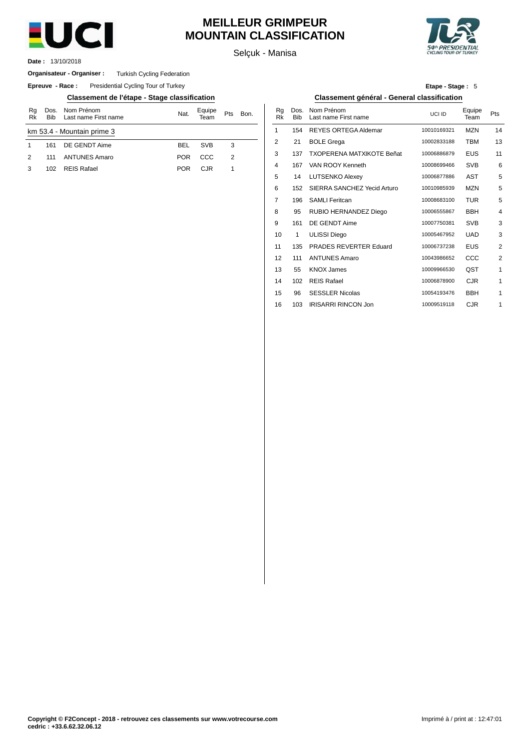

# **MEILLEUR GRIMPEUR MOUNTAIN CLASSIFICATION**

Selçuk - Manisa



13/10/2018 **Date :**

### **Organisateur - Organiser :** Turkish Cycling Federation

**Epreuve - Race:** Presidential Cycling Tour of Turkey

## **Classement de l'étape - Stage classification Classement général - General classification**

| Rg<br>Rk      | <b>Bib</b> | Dos. Nom Prénom<br>Last name First name | Nat.       | Equipe<br>eam | Pts | Bon. | Rg<br>Rk       | Dos<br><b>Bib</b> |
|---------------|------------|-----------------------------------------|------------|---------------|-----|------|----------------|-------------------|
|               |            | km 53.4 - Mountain prime 3              |            |               |     |      |                | 154               |
|               | 161        | DE GENDT Aime                           | <b>BEL</b> | <b>SVB</b>    | 3   |      | $\overline{2}$ | 21                |
| $\mathcal{P}$ | 111        | <b>ANTUNES Amaro</b>                    | <b>POR</b> | CCC           | 2   |      | 3              | 137               |
| 3             | 102        | <b>REIS Rafael</b>                      | <b>POR</b> | <b>CJR</b>    |     |      | $\overline{4}$ | 167               |
|               |            |                                         |            |               |     |      |                |                   |

| Etape - Stage: 5 |  |
|------------------|--|
|                  |  |

| Bon. | Rg<br><b>Rk</b> | Dos.<br><b>Bib</b> | Nom Prénom<br>Last name First name | UCI ID      | Equipe<br>Team | Pts            |
|------|-----------------|--------------------|------------------------------------|-------------|----------------|----------------|
|      | 1               | 154                | <b>REYES ORTEGA Aldemar</b>        | 10010169321 | <b>MZN</b>     | 14             |
|      | 2               | 21                 | <b>BOLE Grega</b>                  | 10002833188 | <b>TBM</b>     | 13             |
|      | 3               | 137                | <b>TXOPERENA MATXIKOTE Beñat</b>   | 10006886879 | <b>EUS</b>     | 11             |
|      | 4               | 167                | VAN ROOY Kenneth                   | 10008699466 | <b>SVB</b>     | 6              |
|      | 5               | 14                 | <b>LUTSENKO Alexey</b>             | 10006877886 | AST            | 5              |
|      | 6               | 152                | SIERRA SANCHEZ Yecid Arturo        | 10010985939 | <b>MZN</b>     | 5              |
|      | 7               | 196                | <b>SAMLI Feritcan</b>              | 10008683100 | <b>TUR</b>     | 5              |
|      | 8               | 95                 | RUBIO HERNANDEZ Diego              | 10006555867 | <b>BBH</b>     | $\overline{4}$ |
|      | 9               | 161                | DE GENDT Aime                      | 10007750381 | <b>SVB</b>     | 3              |
|      | 10              | 1                  | <b>ULISSI Diego</b>                | 10005467952 | <b>UAD</b>     | 3              |
|      | 11              | 135                | PRADES REVERTER Eduard             | 10006737238 | <b>EUS</b>     | $\overline{2}$ |
|      | 12              | 111                | <b>ANTUNES Amaro</b>               | 10043986652 | CCC            | $\overline{2}$ |
|      | 13              | 55                 | <b>KNOX James</b>                  | 10009966530 | QST            | $\mathbf{1}$   |
|      | 14              | 102                | <b>REIS Rafael</b>                 | 10006878900 | <b>CJR</b>     | $\mathbf{1}$   |
|      | 15              | 96                 | <b>SESSLER Nicolas</b>             | 10054193476 | <b>BBH</b>     | 1              |
|      | 16              | 103                | <b>IRISARRI RINCON Jon</b>         | 10009519118 | <b>CJR</b>     | 1              |
|      |                 |                    |                                    |             |                |                |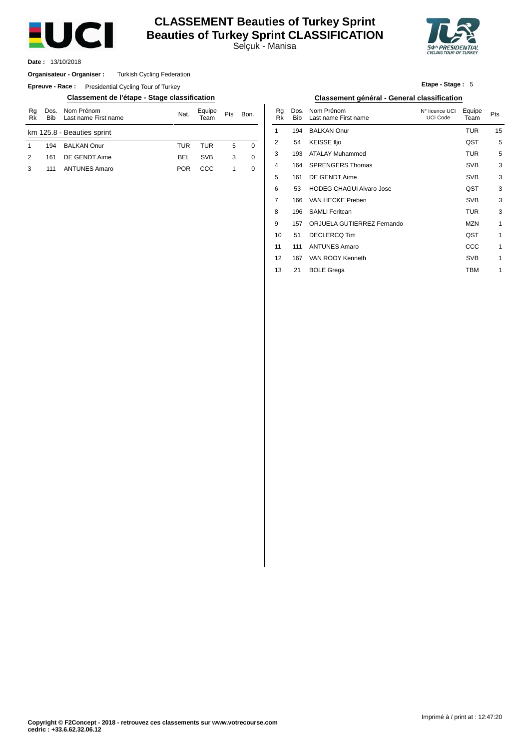

# **CLASSEMENT Beauties of Turkey Sprint Beauties of Turkey Sprint CLASSIFICATION**

Selçuk - Manisa



13/10/2018 **Date :**

#### Turkish Cycling Federation **Organisateur - Organiser :**

**Epreuve - Race:** Presidential Cycling Tour of Turkey

### **Classement de l'étape - Stage classification Classement général - General classification**

| Rg<br>Rk | <b>Bib</b> | Dos. Nom Prénom<br>Last name First name | Nat. | Equipe<br>Team | Pts | Bon. |
|----------|------------|-----------------------------------------|------|----------------|-----|------|
|          |            | km 125.8 - Beauties sprint              |      |                |     |      |
| 1        | 194        | <b>BAI KAN Onur</b>                     | TUR  | TUR            | 5   | 0    |
| 2        | 161        | DE GENDT Aime                           | BEL  | <b>SVB</b>     | 3   | 0    |
| 3        | 111        | <b>ANTUNES Amaro</b>                    | POR  | CCC.           | -1  | 0    |

**Etape - Stage :** 5

| Bon. | Rg<br>Rk       | Dos.<br><b>Bib</b> | Nom Prénom<br>Last name First name | N° licence UCI<br><b>UCI Code</b> | Equipe<br>Team | Pts |
|------|----------------|--------------------|------------------------------------|-----------------------------------|----------------|-----|
|      | 1              | 194                | <b>BALKAN Onur</b>                 |                                   | <b>TUR</b>     | 15  |
| 0    | 2              | 54                 | <b>KEISSE IIjo</b>                 |                                   | QST            | 5   |
|      | 3              | 193                | ATALAY Muhammed                    |                                   | <b>TUR</b>     | 5   |
|      | 4              | 164                | <b>SPRENGERS Thomas</b>            |                                   | <b>SVB</b>     | 3   |
|      | 5              | 161                | DE GENDT Aime                      |                                   | <b>SVB</b>     | 3   |
|      | 6              | 53                 | <b>HODEG CHAGUI Alvaro Jose</b>    |                                   | QST            | 3   |
|      | $\overline{7}$ | 166                | VAN HECKE Preben                   |                                   | <b>SVB</b>     | 3   |
|      | 8              | 196                | <b>SAMLI Feritcan</b>              |                                   | <b>TUR</b>     | 3   |
|      | 9              | 157                | ORJUELA GUTIERREZ Fernando         |                                   | <b>MZN</b>     | 1   |
|      | 10             | 51                 | <b>DECLERCQ Tim</b>                |                                   | QST            | 1   |
|      | 11             | 111                | <b>ANTUNES Amaro</b>               |                                   | CCC            | 1   |
|      | 12             | 167                | VAN ROOY Kenneth                   |                                   | <b>SVB</b>     | 1   |
|      | 13             | 21                 | <b>BOLE Grega</b>                  |                                   | TBM            | 1   |
|      |                |                    |                                    |                                   |                |     |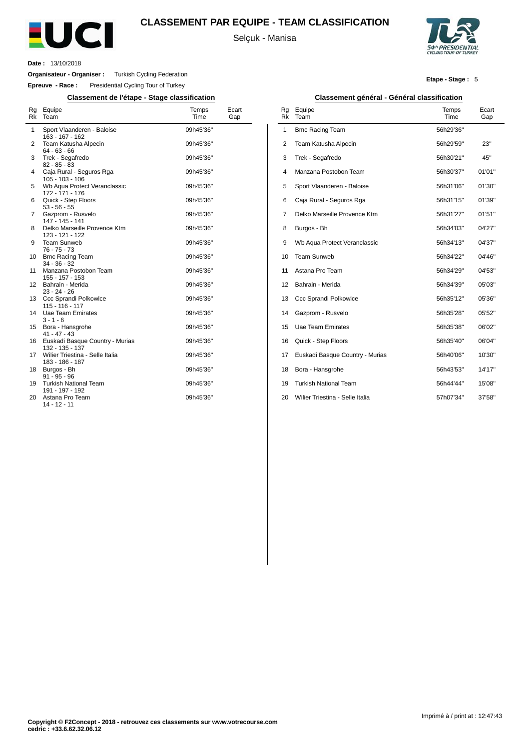

# **CLASSEMENT PAR EQUIPE - TEAM CLASSIFICATION**

Selçuk - Manisa



**Etape - Stage :** 5

**Date :** 13/10/2018

**Organisateur - Organiser :** Turkish Cycling Federation

**Epreuve - Race :** Presidential Cycling Tour of Turkey

## **Classement de l'étape - Stage classification Classement général - Général classification**

| Rg<br><b>Rk</b> | Equipe<br>Team                                     | Temps<br>Time | Ecart<br>Gap |
|-----------------|----------------------------------------------------|---------------|--------------|
| $\mathbf{1}$    | Sport Vlaanderen - Baloise<br>163 - 167 - 162      | 09h45'36"     |              |
| 2               | Team Katusha Alpecin<br>$64 - 63 - 66$             | 09h45'36"     |              |
| 3               | Trek - Segafredo<br>$82 - 85 - 83$                 | 09h45'36"     |              |
| 4               | Caja Rural - Seguros Rga<br>$105 - 103 - 106$      | 09h45'36"     |              |
| 5               | Wb Aqua Protect Veranclassic<br>172 - 171 - 176    | 09h45'36"     |              |
| 6               | Quick - Step Floors<br>$53 - 56 - 55$              | 09h45'36"     |              |
| 7               | Gazprom - Rusvelo<br>147 - 145 - 141               | 09h45'36"     |              |
| 8               | Delko Marseille Provence Ktm<br>123 - 121 - 122    | 09h45'36"     |              |
| 9               | Team Sunweb<br>$76 - 75 - 73$                      | 09h45'36"     |              |
| 10              | <b>Bmc Racing Team</b><br>$34 - 36 - 32$           | 09h45'36"     |              |
| 11              | Manzana Postobon Team<br>155 - 157 - 153           | 09h45'36"     |              |
| 12              | Bahrain - Merida<br>$23 - 24 - 26$                 | 09h45'36"     |              |
| 13              | Ccc Sprandi Polkowice<br>$115 - 116 - 117$         | 09h45'36"     |              |
| 14              | Uae Team Emirates<br>$3 - 1 - 6$                   | 09h45'36"     |              |
| 15              | Bora - Hansgrohe<br>$41 - 47 - 43$                 | 09h45'36"     |              |
| 16              | Euskadi Basque Country - Murias<br>132 - 135 - 137 | 09h45'36"     |              |
| 17              | Wilier Triestina - Selle Italia<br>183 - 186 - 187 | 09h45'36"     |              |
| 18              | Burgos - Bh<br>$91 - 95 - 96$                      | 09h45'36"     |              |
| 19              | <b>Turkish National Team</b><br>191 - 197 - 192    | 09h45'36"     |              |
| 20              | Astana Pro Team<br>$14 - 12 - 11$                  | 09h45'36"     |              |

| Rq<br>Rk       | Equipe<br>Team                  | Temps<br>Time | Ecart<br>Gap |
|----------------|---------------------------------|---------------|--------------|
| 1              | <b>Bmc Racing Team</b>          | 56h29'36"     |              |
| $\overline{2}$ | Team Katusha Alpecin            | 56h29'59"     | 23"          |
| 3              | Trek - Segafredo                | 56h30'21"     | 45"          |
| $\overline{4}$ | Manzana Postobon Team           | 56h30'37"     | 01'01"       |
| 5              | Sport Vlaanderen - Baloise      | 56h31'06"     | 01'30"       |
| 6              | Caja Rural - Seguros Rga        | 56h31'15"     | 01'39"       |
| 7              | Delko Marseille Provence Ktm    | 56h31'27"     | 01'51"       |
| 8              | Burgos - Bh                     | 56h34'03"     | 04'27"       |
| 9              | Wb Aqua Protect Veranclassic    | 56h34'13"     | 04'37"       |
| 10             | <b>Team Sunweb</b>              | 56h34'22"     | 04'46"       |
| 11             | Astana Pro Team                 | 56h34'29"     | 04'53"       |
| 12             | Bahrain - Merida                | 56h34'39"     | 05'03"       |
| 13             | Ccc Sprandi Polkowice           | 56h35'12"     | 05'36"       |
| 14             | Gazprom - Rusvelo               | 56h35'28"     | 05'52"       |
| 15             | Uae Team Emirates               | 56h35'38"     | 06'02"       |
| 16             | Quick - Step Floors             | 56h35'40"     | 06'04"       |
| 17             | Euskadi Basque Country - Murias | 56h40'06"     | 10'30"       |
| 18             | Bora - Hansgrohe                | 56h43'53"     | 14'17"       |
| 19             | <b>Turkish National Team</b>    | 56h44'44"     | 15'08"       |
| 20             | Wilier Triestina - Selle Italia | 57h07'34"     | 37'58"       |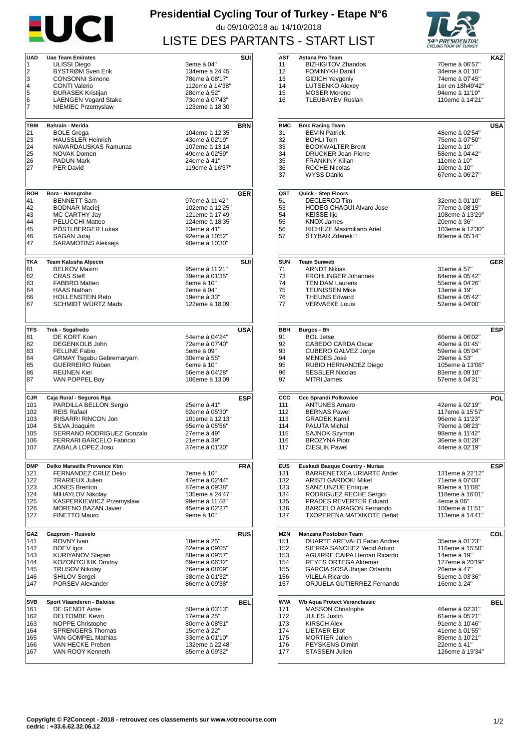

# **Presidential Cycling Tour of Turkey - Etape N°6** du 09/10/2018 au 14/10/2018 LISTE DES PARTANTS - START LIST



| <b>UAD</b>        | <b>Uae Team Emirates</b>                           |                 | SUI        |
|-------------------|----------------------------------------------------|-----------------|------------|
| 1                 | ULISSI Diego                                       | 3eme à 04"      |            |
| 2                 | BYSTRØM Sven Erik                                  | 134eme à 24'45" |            |
| 3                 | <b>CONSONNI Simone</b>                             | 78eme à 08'17"  |            |
| 4                 | <b>CONTI Valerio</b>                               | 112eme à 14'38" |            |
| 5                 | <b>ĐURASEK Kristijan</b>                           | 28eme à 52"     |            |
|                   |                                                    |                 |            |
| 6                 | <b>LAENGEN Vegard Stake</b>                        | 73eme à 07'43"  |            |
| 7                 | NIEMIEC Przemyslaw                                 | 123eme à 18'30" |            |
|                   |                                                    |                 |            |
| TBM               | Bahrain - Merida                                   |                 | <b>BRN</b> |
| 21                | <b>BOLE Grega</b>                                  | 104eme à 12'35" |            |
| 23                | <b>HAUSSLER Heinrich</b>                           | 43eme à 02'19"  |            |
| 24                | NAVARDAUSKAS Ramunas                               | 107eme à 13'14" |            |
|                   |                                                    |                 |            |
| 25                | <b>NOVAK Domen</b>                                 | 49eme à 02'59"  |            |
| 26                | <b>PADUN Mark</b>                                  | 24eme à 41"     |            |
| 27                | <b>PER David</b>                                   | 119eme à 16'37" |            |
|                   |                                                    |                 |            |
|                   |                                                    |                 |            |
| <b>BOH</b>        | Bora - Hansgrohe                                   |                 | <b>GER</b> |
| 41                | <b>BENNETT Sam</b>                                 | 97eme à 11'42'' |            |
| 42                | <b>BODNAR Maciej</b>                               | 102eme à 12'25" |            |
| 43                | MC CARTHY Jay                                      | 121eme à 17'49" |            |
| 44                | PELUCCHI Matteo                                    | 124eme à 18'35" |            |
| 45                | PÖSTLBERGER Lukas                                  | 23eme à 41"     |            |
| 46                | <b>SAGAN Jurai</b>                                 | 92eme à 10'52"  |            |
| 47                | <b>SARAMOTINS Aleksejs</b>                         | 90eme à 10'30"  |            |
|                   |                                                    |                 |            |
| <b>TKA</b>        |                                                    |                 |            |
| 61                | <b>Team Katusha Alpecin</b><br><b>BELKOV Maxim</b> | 95eme à 11'21"  | SUI        |
|                   | <b>CRAS Steff</b>                                  |                 |            |
| 62                |                                                    | 39eme à 01'35"  |            |
| 63                | <b>FABBRO Matteo</b>                               | 8eme à 10"      |            |
| 64                | <b>HAAS Nathan</b>                                 | 2eme à 04"      |            |
| 66                | <b>HOLLENSTEIN Reto</b>                            | 19eme à 33"     |            |
| 67                | SCHMIDT WÜRTZ Mads                                 | 122eme à 18'09" |            |
|                   |                                                    |                 |            |
|                   |                                                    |                 |            |
| <b>TFS</b>        | Trek - Segafredo                                   |                 | USA        |
| 81                | DE KORT Koen                                       | 54eme à 04'24"  |            |
| 82                | DEGENKOLB John                                     | 72eme à 07'40"  |            |
|                   | <b>FELLINE Fabio</b>                               |                 |            |
| 83                |                                                    | 5eme à 09"      |            |
| 84                | <b>GRMAY Tsgabu Gebremaryam</b>                    | 30eme à 55"     |            |
| 85                | GUERREIRO Rúben                                    | 6eme à 10"      |            |
| 86                | <b>REIJNEN Kiel</b>                                | 56eme à 04'28"  |            |
| 87                | VAN POPPEL Boy                                     | 106eme à 13'09" |            |
|                   |                                                    |                 |            |
| CJR               | Caja Rural - Seguros Rga                           |                 | ESP        |
| 101               | PARDILLA BELLON Sergio                             | 25eme à 41"     |            |
| 102               | <b>REIS Rafael</b>                                 | 62eme à 05'30"  |            |
| 103               | <b>IRISARRI RINCON Jon</b>                         | 101eme à 12'13" |            |
| 104               | SILVA Joaquim                                      | 65eme à 05'56"  |            |
| 105               | SERRANO RODRIGUEZ Gonzalo                          | 27eme à 49"     |            |
| 106               | <b>FERRARI BARCELO Fabricio</b>                    | 21eme à 39"     |            |
|                   |                                                    |                 |            |
| 107               | ZABALA LOPEZ Josu                                  | 37eme à 01'30"  |            |
|                   |                                                    |                 |            |
| <b>DMP</b>        | Delko Marseille Provence Ktm                       |                 | FRA        |
| 121               | FERNANDEZ CRUZ Delio                               | 7eme à 10"      |            |
| 122               | <b>TRARIEUX Julien</b>                             | 47eme à 02'44"  |            |
| 123               | <b>JONES Brenton</b>                               | 87eme à 09'38"  |            |
| 124               | MIHAYLOV Nikolay                                   | 135eme à 24'47" |            |
| 125               | KASPERKIEWICZ Przemyslaw                           | 99eme à 11'48"  |            |
| 126               | <b>MORENO BAZAN Javier</b>                         | 45eme à 02'27"  |            |
| 127               | FINETTO Mauro                                      | 9eme à 10"      |            |
|                   |                                                    |                 |            |
| GAZ               | Gazprom - Rusvelo                                  |                 | <b>RUS</b> |
| 141               | <b>ROVNY</b> Ivan                                  | 18eme à 25"     |            |
| 142               | <b>BOEV</b> Igor                                   | 82eme à 09'05"  |            |
| 143               | KURIYANOV Stepan                                   | 88eme à 09'57"  |            |
|                   |                                                    |                 |            |
| 144               | <b>KOZONTCHUK Dmitriy</b>                          | 69eme à 06'32"  |            |
| 145               | <b>TRUSOV Nikolay</b>                              | 76eme à 08'09"  |            |
| 146               | <b>SHILOV Sergei</b>                               | 38eme à 01'32"  |            |
| 147               | PORSEV Alexander                                   | 86eme à 09'38"  |            |
|                   |                                                    |                 |            |
| <b>SVB</b><br>161 | Sport Vlaanderen - Baloise<br>DE GENDT Aime        | 50eme à 03'13"  | BEL        |
|                   |                                                    |                 |            |
| 162               | <b>DELTOMBE Kevin</b>                              | 17eme à 25"     |            |
| 163               | <b>NOPPE Christophe</b>                            | 80eme à 08'51"  |            |
| 164               | <b>SPRENGERS Thomas</b>                            | 15eme à 22"     |            |
| 165               | VAN GOMPEL Mathias                                 | 33eme à 01'10"  |            |
| 166               | VAN HECKE Preben                                   | 132eme à 22'48" |            |
| 167               | VAN ROOY Kenneth                                   | 85eme à 09'32"  |            |
|                   |                                                    |                 |            |

| AST          |                                     |                  |            |
|--------------|-------------------------------------|------------------|------------|
|              | Astana Pro Team                     |                  | KAZ        |
|              |                                     |                  |            |
| 11           | <b>BIZHIGITOV Zhandos</b>           | 70eme à 06'57"   |            |
| 12           | FOMINYKH Daniil                     | 34eme à 01'10"   |            |
| 13           | <b>GIDICH Yevgeniy</b>              | 74eme à 07'45"   |            |
|              |                                     |                  |            |
| 14           | <b>LUTSENKO Alexey</b>              | 1er en 18h49'42" |            |
| 15           | <b>MOSER Moreno</b>                 | 94eme à 11'19"   |            |
| 16           | <b>TLEUBAYEV Ruslan</b>             | 110eme à 14'21"  |            |
|              |                                     |                  |            |
|              |                                     |                  |            |
|              |                                     |                  |            |
|              |                                     |                  |            |
| <b>BMC</b>   | <b>Bmc Racing Team</b>              |                  | USA        |
| 31           | <b>BEVIN Patrick</b>                | 48eme à 02'54"   |            |
| 32           | <b>BOHLI Tom</b>                    | 75eme à 07'50"   |            |
|              |                                     |                  |            |
| 33           | <b>BOOKWALTER Brent</b>             | 12eme à 10"      |            |
| 34           | <b>DRUCKER Jean-Pierre</b>          | 58eme à 04'42"   |            |
| 35           | <b>FRANKINY Kilian</b>              |                  |            |
|              |                                     | 11eme à 10"      |            |
| 36           | <b>ROCHE Nicolas</b>                | 10eme à 10"      |            |
| 37           | <b>WYSS Danilo</b>                  | 67eme à 06'27"   |            |
|              |                                     |                  |            |
|              |                                     |                  |            |
| QST          | Quick - Step Floors                 |                  | BEL        |
| 51           | <b>DECLERCQ Tim</b>                 | 32eme à 01'10"   |            |
|              |                                     |                  |            |
| 53           | <b>HODEG CHAGUI Alvaro Jose</b>     | 77eme à 08'15"   |            |
| 54           | <b>KEISSE Iljo</b>                  | 108eme à 13'29"  |            |
|              | <b>KNOX James</b>                   |                  |            |
| 55           |                                     | 20eme à 36"      |            |
| 56           | RICHEZE Maximiliano Ariel           | 103eme à 12'30"  |            |
| 57           | ŠTYBAR Zdenek⊟                      | 60eme à 05'14"   |            |
|              |                                     |                  |            |
|              |                                     |                  |            |
|              |                                     |                  |            |
| SUN          | <b>Team Sunweb</b>                  |                  | <b>GER</b> |
|              | <b>ARNDT Nikias</b>                 |                  |            |
| 71           |                                     | 31eme à 57"      |            |
| 73           | <b>FROHLINGER Johannes</b>          | 64eme à 05'42"   |            |
| 74           | <b>TEN DAM Laurens</b>              | 55eme à 04'26"   |            |
|              |                                     |                  |            |
| 75           | <b>TEUNISSEN Mike</b>               | 13eme à 19"      |            |
| 76           | <b>THEUNS Edward</b>                | 63eme à 05'42"   |            |
| 77           | <b>VERVAEKE Louis</b>               | 52eme à 04'00"   |            |
|              |                                     |                  |            |
|              |                                     |                  |            |
|              |                                     |                  |            |
|              |                                     |                  |            |
| BBH          | Burgos - Bh                         |                  | ESP        |
| 91           | <b>BOL Jetse</b>                    | 66eme à 06'02"   |            |
|              | CABEDO CARDA Oscar                  |                  |            |
| 92           |                                     | 40eme à 01'45"   |            |
| 93           | <b>CUBERO GALVEZ Jorge</b>          | 59eme à 05'04"   |            |
| 94           | <b>MENDES José</b>                  | 29eme à 53"      |            |
| 95           | RUBIO HERNANDEZ Diego               | 105eme à 13'06"  |            |
|              |                                     |                  |            |
| 96           | <b>SESSLER Nicolas</b>              | 83eme à 09'10"   |            |
| 97           | <b>MITRI James</b>                  | 57eme à 04'31"   |            |
|              |                                     |                  |            |
|              |                                     |                  |            |
|              |                                     |                  |            |
| $_{\rm ccc}$ | <b>Ccc Sprandi Polkowice</b>        |                  | POL        |
| 111          | <b>ANTUNES Amaro</b>                | 42eme à 02'19"   |            |
|              |                                     |                  |            |
| 112          | <b>BERNAS Pawel</b>                 | 117eme à 15'57"  |            |
| 113          | <b>GRADEK Kamil</b>                 | 96eme à 11'23"   |            |
| 114          | PALUTA Michal                       | 79eme à 08'23"   |            |
|              |                                     |                  |            |
| 115          | <b>SAJNOK Szymon</b>                | 98eme à 11'42"   |            |
| 116          | <b>BROZYNA Piotr</b>                | 36eme à 01'28"   |            |
| 117          | <b>CIESLIK Pawel</b>                | 44eme à 02'19"   |            |
|              |                                     |                  |            |
|              |                                     |                  |            |
| <b>EUS</b>   | Euskadi Basque Country - Murias     |                  | <b>ESP</b> |
| 131          | BARRENETXEA URIARTE Ander           | 131eme à 22'12"  |            |
|              |                                     |                  |            |
| 132          | ARISTI GARDOKI Mikel                | 71eme à 07'03"   |            |
| 133          | <b>SANZ UNZUE Enrique</b>           | 93eme à 11'08"   |            |
| 134          | RODRIGUEZ RECHE Sergio              | 118eme à 16'01"  |            |
|              |                                     |                  |            |
| 135          | PRADES REVERTER Eduard              | 4eme à 06"       |            |
| 136          | <b>BARCELO ARAGON Fernando</b>      | 100eme à 11'51"  |            |
| 137          | TXOPERENA MATXIKOTE Beñat           | 113eme à 14'41"  |            |
|              |                                     |                  |            |
|              | Manzana Postobon Team               |                  |            |
| MZN          |                                     |                  | COL        |
| 151          | DUARTE AREVALO Fabio Andres         | 35eme à 01'23"   |            |
| 152          | SIERRA SANCHEZ Yecid Arturo         | 116eme à 15'50"  |            |
|              |                                     |                  |            |
| 153          | <b>AGUIRRE CAIPA Hernan Ricardo</b> | 14eme à 19"      |            |
| 154          | <b>REYES ORTEGA Aldemar</b>         | 127eme à 20'19"  |            |
| 155          | GARCIA SOSA Jhojan Orlando          | 26eme à 47"      |            |
|              |                                     |                  |            |
| 156          | <b>VILELA Ricardo</b>               | 51eme à 03'36"   |            |
| 157          | ORJUELA GUTIERREZ Fernando          | 16eme à 24"      |            |
|              |                                     |                  |            |
| WVA          | Wb Aqua Protect Veranclassic        |                  | BEL        |
| 171          | <b>MASSON Christophe</b>            | 46eme à 02'31"   |            |
|              |                                     |                  |            |
| 172          | <b>JULES Justin</b>                 | 61eme à 05'21"   |            |
| 173          | <b>KIRSCH Alex</b>                  | 91eme à 10'46"   |            |
| 174          | <b>LIETAER Eliot</b>                | 41eme à 01'55"   |            |
|              |                                     |                  |            |
| 175          | <b>MORTIER Julien</b>               | 89eme à 10'21"   |            |
| 176          | PEYSKENS Dimitri                    | 22eme à 41"      |            |
| 177          | <b>STASSEN Julien</b>               | 126eme à 19'34"  |            |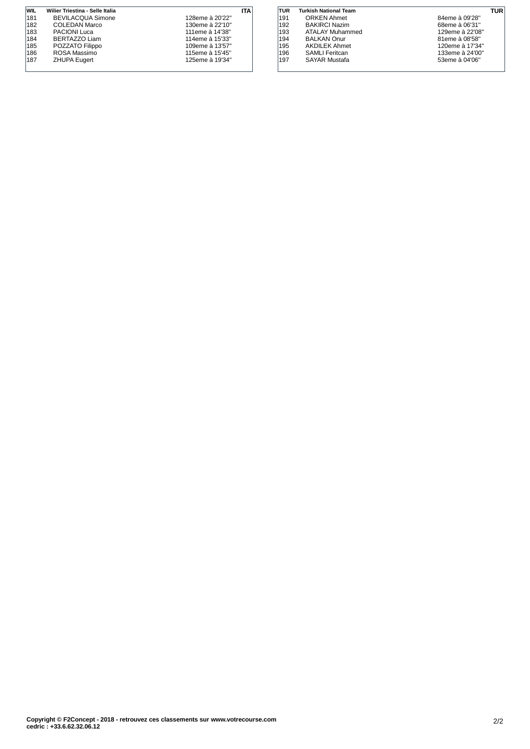| WIL | Wilier Triestina - Selle Italia |                 | ITA |
|-----|---------------------------------|-----------------|-----|
| 181 | <b>BEVILACQUA Simone</b>        | 128eme à 20'22" |     |
| 182 | COLEDAN Marco                   | 130eme à 22'10" |     |
| 183 | <b>PACIONI Luca</b>             | 111eme à 14'38" |     |
| 184 | BERTAZZO Liam                   | 114eme à 15'33" |     |
| 185 | POZZATO Filippo                 | 109eme à 13'57" |     |
| 186 | ROSA Massimo                    | 115eme à 15'45" |     |
| 187 | <b>ZHUPA Eugert</b>             | 125eme à 19'34" |     |
|     |                                 |                 |     |
|     |                                 |                 |     |

| TUR | <b>Turkish National Team</b> | TUR             |  |
|-----|------------------------------|-----------------|--|
| 191 | <b>ORKEN Ahmet</b>           | 84eme à 09'28"  |  |
| 192 | <b>BAKIRCI Nazim</b>         | 68eme à 06'31"  |  |
| 193 | <b>ATALAY Muhammed</b>       | 129eme à 22'08" |  |
| 194 | <b>BALKAN Onur</b>           | 81eme à 08'58"  |  |
| 195 | <b>AKDILEK Ahmet</b>         | 120eme à 17'34" |  |
| 196 | <b>SAMLI</b> Feritcan        | 133eme à 24'00" |  |
| 197 | <b>SAYAR Mustafa</b>         | 53eme à 04'06"  |  |
|     |                              |                 |  |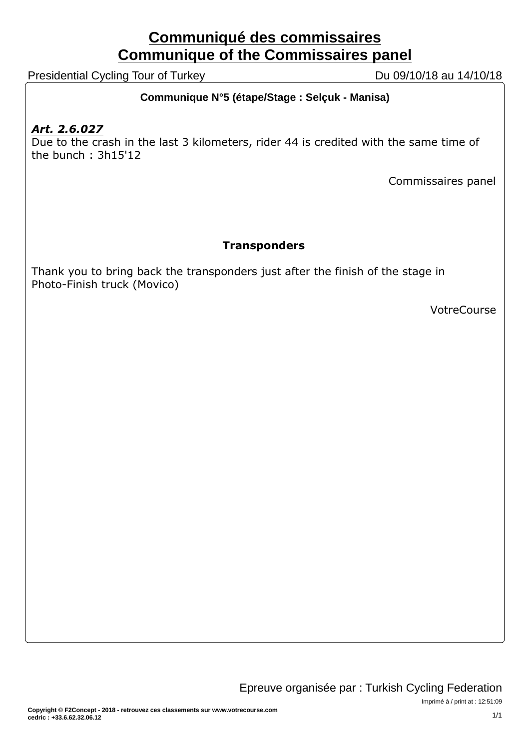# **Communiqué des commissaires Communique of the Commissaires panel**

Presidential Cycling Tour of Turkey Du 09/10/18 au 14/10/18

# **Communique N°5 (étape/Stage : Selçuk - Manisa)**

# *Art. 2.6.027*

Due to the crash in the last 3 kilometers, rider 44 is credited with the same time of the bunch : 3h15'12

Commissaires panel

# **Transponders**

Thank you to bring back the transponders just after the finish of the stage in Photo-Finish truck (Movico)

VotreCourse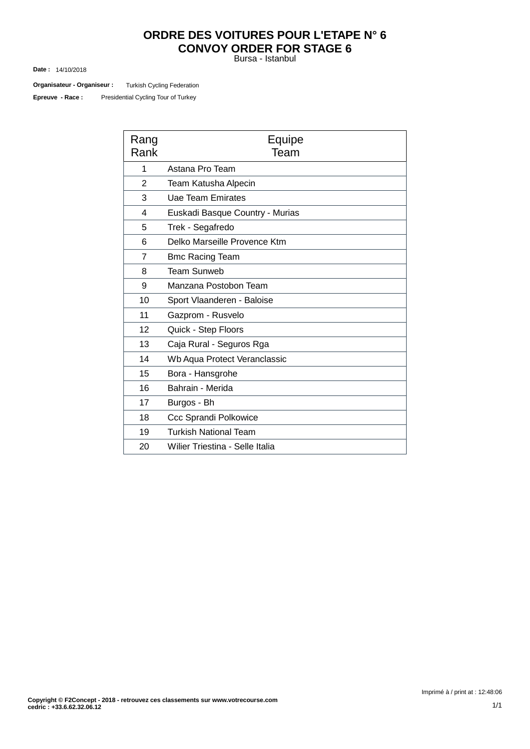# **ORDRE DES VOITURES POUR L'ETAPE N° 6 CONVOY ORDER FOR STAGE 6**

Bursa - Istanbul

14/10/2018 **Date :**

**Organisateur - Organiseur :** Turkish Cycling Federation

Presidential Cycling Tour of Turkey **Epreuve - Race :**

| Rang<br>Rank   | Equipe<br>Team                  |
|----------------|---------------------------------|
| 1              | Astana Pro Team                 |
| $\overline{2}$ | Team Katusha Alpecin            |
| 3              | <b>Uae Team Emirates</b>        |
| 4              | Euskadi Basque Country - Murias |
| 5              | Trek - Segafredo                |
| 6              | Delko Marseille Provence Ktm    |
| 7              | <b>Bmc Racing Team</b>          |
| 8              | Team Sunweb                     |
| 9              | Manzana Postobon Team           |
| 10             | Sport Vlaanderen - Baloise      |
| 11             | Gazprom - Rusvelo               |
| 12             | Quick - Step Floors             |
| 13             | Caja Rural - Seguros Rga        |
| 14             | Wb Aqua Protect Veranclassic    |
| 15             | Bora - Hansgrohe                |
| 16             | Bahrain - Merida                |
| 17             | Burgos - Bh                     |
| 18             | <b>Ccc Sprandi Polkowice</b>    |
| 19             | <b>Turkish National Team</b>    |
| 20             | Wilier Triestina - Selle Italia |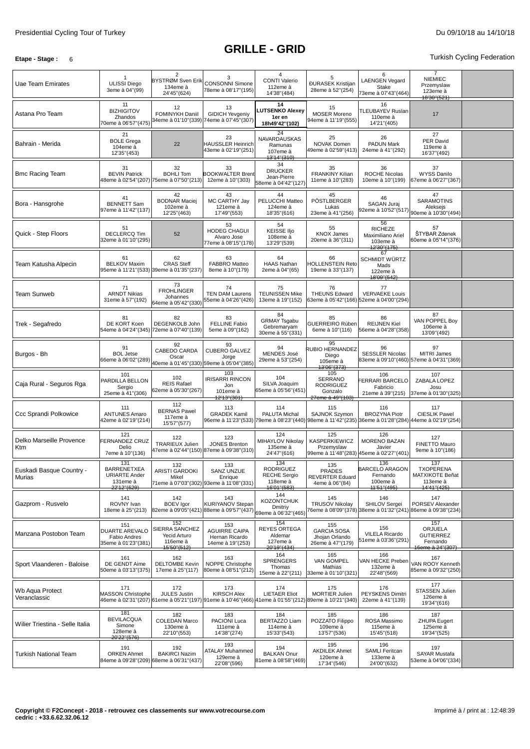# **GRILLE - GRID**

## **Etape -** Stage: 6 **Turkish Cycling Federation**

| Uae Team Emirates                  | -1<br><b>ULISSI Diego</b><br>3eme à 04"(99)                                  | $\overline{2}$<br>BYSTRØM Sven Erik<br>134eme à<br>24'45"(624)                                                                         | 3<br><b>CONSONNI Simone</b><br>78eme à 08'17"(195)                               | 4<br><b>CONTI Valerio</b><br>112eme à<br>14'38"(484)                      | 5<br><b>ĐURASEK Kristijan</b><br>28eme à 52"(254)                 | 6<br><b>LAENGEN Vegard</b><br><b>Stake</b><br>73eme à 07'43"(464)                                                                  | $\overline{7}$<br><b>NIEMIEC</b><br>Przemyslaw<br>123eme à<br>18'30"(521) |  |
|------------------------------------|------------------------------------------------------------------------------|----------------------------------------------------------------------------------------------------------------------------------------|----------------------------------------------------------------------------------|---------------------------------------------------------------------------|-------------------------------------------------------------------|------------------------------------------------------------------------------------------------------------------------------------|---------------------------------------------------------------------------|--|
| Astana Pro Team                    | 11<br><b>BIZHIGITOV</b><br>Zhandos<br>70eme à 06'57"(475)                    | 12<br>FOMINYKH Daniil<br>34eme à 01'10''(339) 74eme à 07'45''(307)                                                                     | 13<br><b>GIDICH Yevgeniy</b>                                                     | 14<br><b>UTSENKO Alexey</b><br>1er en<br>18h49'42"(102)                   | 15<br><b>MOSER Moreno</b><br>94eme à 11'19"(555)                  | 16<br>TLEUBAYEV Ruslan<br>110eme à<br>14'21"(405)                                                                                  | 17                                                                        |  |
| Bahrain - Merida                   | 21<br><b>BOLE Grega</b><br>104eme à<br>12'35" (453)                          | 22                                                                                                                                     | 23<br><b>HAUSSLER Heinrich</b><br>43eme à 02'19"(251)                            | 24<br>NAVARDAUSKAS<br>Ramunas<br>107eme à<br>13'14"(310)                  | 25<br>NOVAK Domen<br>49eme à 02'59"(413)                          | 26<br>PADUN Mark<br>24eme à 41"(292)                                                                                               | 27<br>PER David<br>119eme à<br>16'37" (492)                               |  |
| <b>Bmc Racing Team</b>             | 31<br><b>BEVIN Patrick</b>                                                   | 32<br><b>BOHLI Tom</b><br>48eme à 02'54''(207) 75eme à 07'50''(213)                                                                    | 33<br><b>BOOKWALTER Brent</b><br>12eme à 10"(303)                                | 34<br><b>DRUCKER</b><br>Jean-Pierre<br>58eme à 04'42"(127)                | 35<br><b>FRANKINY Kilian</b><br>11eme à 10"(283)                  | 36<br><b>ROCHE Nicolas</b><br>10eme à 10"(199)                                                                                     | 37<br><b>WYSS Danilo</b><br>67eme à 06'27"(367)                           |  |
| Bora - Hansgrohe                   | 41<br><b>BENNETT Sam</b><br>97eme à 11'42"(137)                              | 42<br><b>BODNAR Maciej</b><br>102eme à<br>12'25" (463)                                                                                 | 43<br>MC CARTHY Jay<br>121eme à<br>17'49"(553)                                   | 44<br>PELUCCHI Matteo<br>124eme à<br>18'35"(616)                          | 45<br>PÖSTLBERGER<br>Lukas<br>23eme à 41"(256)                    | 46<br>SAGAN Juraj<br>92eme à 10'52"(517)                                                                                           | 47<br>SARAMOTINS<br>Aleksejs<br>90eme à 10'30"(494)                       |  |
| Quick - Step Floors                | 51<br><b>DECLERCQ Tim</b><br>32eme à 01'10''(295)                            | 52                                                                                                                                     | 53<br>HODEG CHAGUI<br>Alvaro Jose<br>77eme à 08'15"(178)                         | 54<br><b>KEISSE IIjo</b><br>108eme à<br>13'29"(539)                       | 55<br><b>KNOX James</b><br>20eme à 36"(311)                       | 56<br><b>RICHEZE</b><br>Maximiliano Ariel<br>103eme à<br>12'30"(175)                                                               | 57<br>ŠTYBAR Zdenek<br>60eme à 05'14"(376)                                |  |
| Team Katusha Alpecin               | 61<br><b>BELKOV Maxim</b>                                                    | 62<br><b>CRAS Steff</b><br>95eme à 11'21''(533) 39eme à 01'35''(237)                                                                   | 63<br>FABBRO Matteo<br>8eme à 10"(179)                                           | 64<br><b>HAAS Nathan</b><br>2eme à 04"(65)                                | 66<br><b>HOLLENSTEIN Reto</b><br>19eme à 33"(137)                 | 67<br>SCHMIDT WÜRTZ<br>Mads<br>122eme à<br>18'09"(542)                                                                             |                                                                           |  |
| <b>Team Sunweb</b>                 | 71<br><b>ARNDT Nikias</b><br>31eme à 57"(192)                                | 73<br><b>FROHLINGER</b><br>Johannes<br>64eme à 05'42"(330)                                                                             | 74<br><b>TEN DAM Laurens</b><br>55eme à 04'26"(426)                              | 75<br><b>TEUNISSEN Mike</b><br>13eme à 19"(152)                           | 76<br><b>THEUNS Edward</b>                                        | 77<br><b>VERVAEKE Louis</b><br>63eme à 05'42"(166) 52eme à 04'00"(294)                                                             |                                                                           |  |
| Trek - Segafredo                   | 81<br>DE KORT Koen                                                           | 82<br>DEGENKOLB John<br>54eme à 04'24''(345) 72eme à 07'40''(139)                                                                      | 83<br><b>FELLINE Fabio</b><br>5eme à 09"(162)                                    | 84<br><b>GRMAY Tsgabu</b><br>Gebremaryam<br>30eme à 55"(331)              | 85<br>GUERREIRO Rúben<br>6eme à 10"(116)                          | 86<br><b>REIJNEN Kiel</b><br>56eme à 04'28"(358)                                                                                   | 87<br>VAN POPPEL Bov<br>106eme à<br>13'09"(492)                           |  |
| Burgos - Bh                        | 91<br><b>BOL Jetse</b><br>66eme à 06'02"(289)                                | 92<br>CABEDO CARDA<br>Oscar                                                                                                            | 93<br><b>CUBERO GALVEZ</b><br>Jorge<br>40eme à 01'45''(330) 59eme à 05'04''(385) | 94<br>MENDES José<br>29eme à 53"(254)                                     | 95<br><b>RUBIO HERNANDEZ</b><br>Diego<br>105eme à<br>13'06"(373)  | 96<br><b>SESSLER Nicolas</b>                                                                                                       | 97<br><b>MITRI James</b><br>83eme à 09'10"(460) 57eme à 04'31"(369)       |  |
| Caja Rural - Seguros Rga           | 101<br>PARDILLA BELLON<br>Sergio<br>25eme à 41"(306)                         | 102<br><b>REIS Rafael</b><br>62eme à 05'30"(267)                                                                                       | 103<br><b>IRISARRI RINCON</b><br>Jon<br>101eme à<br>12'13"(301)                  | 104<br>SILVA Joaquim<br>65eme à 05'56"(451)                               | 105<br>SERRANO<br><b>RODRIGUEZ</b><br>Gonzalo<br>27eme à 49"(103) | 106<br><b>ERRARI BARCELO</b><br>Fabricio<br>21eme à 39"(215)                                                                       | 107<br>ZABALA LOPEZ<br>Josu<br>37eme à 01'30"(325)                        |  |
| Ccc Sprandi Polkowice              | 111<br><b>ANTUNES Amaro</b><br>42eme à 02'19"(214)                           | 112<br><b>BERNAS Pawel</b><br>117eme à<br>15'57" (577)                                                                                 | 113<br><b>GRADEK Kamil</b>                                                       | 114<br>PALUTA Michal                                                      | 115<br>SAJNOK Szymon                                              | 116<br><b>BROZYNA Piotr</b><br>96eme à 11'23"(533) 79eme à 08'23"(440) 98eme à 11'42"(235) 36eme à 01'28"(284) 44eme à 02'19"(254) | 117<br><b>CIESLIK Pawel</b>                                               |  |
| Delko Marseille Provence<br>Ktm    | 121<br>FERNANDEZ CRUZ<br>Delio<br>7eme à 10"(136)                            | 122<br><b>TRARIEUX Julien</b>                                                                                                          | 123<br><b>JONES Brenton</b><br>47eme à 02'44"(150) 87eme à 09'38"(310)           | 124<br>MIHAYLOV Nikolay<br>135eme à<br>24'47" (616)                       | 125<br>KASPERKIEWICZ<br>Przemyslaw                                | 126<br>MORENO BAZAN<br>Javier<br>99eme à 11'48"(283) 45eme à 02'27"(401)                                                           | 127<br>FINETTO Mauro<br>9eme à 10"(186)                                   |  |
| Euskadi Basque Country -<br>Murias | 131<br><b>BARRENETXEA</b><br><b>URIARTE Ander</b><br>131eme à<br>22'12"(629) | 132<br>ARISTI GARDOKI<br>Mikel                                                                                                         | 133<br>SANZ UNZUE<br>Enrique<br>71eme à 07'03"(302) 93eme à 11'08"(331)          | 134<br><b>RODRIGUEZ</b><br><b>RECHE Sergio</b><br>118eme à<br>16'01"(583) | 135<br>PRADES<br><b>REVERTER Eduard</b><br>4eme à 06"(84)         | 136<br><b>BARCELO ARAGON</b><br>Fernando<br>100eme à<br>11'51"(495)                                                                | 137<br><b>TXOPERENA</b><br>MATXIKOTE Beñat<br>113eme à<br>14'41"(425)     |  |
| Gazprom - Rusvelo                  | 141<br>ROVNY Ivan<br>18eme à 25"(213)                                        | 142<br><b>BOEV</b> Igor<br>82eme à 09'57" (437) 69eme à 09'57" (437) 69eme à 06'32" (465)                                              | 143<br><b>KURIYANOV Stepan</b>                                                   | 144<br><b>KOZONTCHUK</b>                                                  | 145<br><b>TRUSOV Nikolay</b>                                      | 146<br>SHILOV Sergei<br>6eme à 08'09"(378) 38eme à 01'32"(241) 86eme à 09'38"(234)                                                 | 147<br>PORSEV Alexander                                                   |  |
| Manzana Postobon Team              | 151<br><b>DUARTE AREVALO</b><br>Fabio Andres<br>35eme à 01'23"(381)          | 152<br>SIERRA SANCHEZ<br>Yecid Arturo<br>116eme à<br>15'50"(512)                                                                       | 153<br><b>AGUIRRE CAIPA</b><br>Hernan Ricardo<br>14eme à 19"(253)                | 154<br><b>REYES ORTEGA</b><br>Aldemar<br>127eme à<br>20'19"(434)          | 155<br><b>GARCIA SOSA</b><br>Jhojan Orlando<br>26eme à 47"(179)   | 156<br><b>VILELA Ricardo</b><br>51eme à 03'36"(291)                                                                                | 157<br>ORJUELA<br><b>GUTIERREZ</b><br>Fernando<br>16eme à 24"(307)        |  |
| Sport Vlaanderen - Baloise         | 161<br>DE GENDT Aime<br>50eme à 03'13"(375)                                  | 162<br><b>DELTOMBE Kevin</b><br>17eme à 25"(117)                                                                                       | 163<br>NOPPE Christophe<br>80eme à 08'51"(212)                                   | 164<br>SPRENGERS<br>Thomas<br>15eme à 22"(211)                            | 165<br>VAN GOMPEL<br>Mathias<br>33eme à 01'10"(321)               | 166<br>VAN HECKE Preben<br>132eme à<br>22'48"(569)                                                                                 | 167<br>VAN ROOY Kenneth<br>85eme à 09'32"(250)                            |  |
| Wb Aqua Protect<br>Veranclassic    | 171<br><b>MASSON Christophe</b>                                              | 172<br><b>JULES Justin</b><br>46eme à 02'31''(207) 61eme à 05'21''(197) 91eme à 10'46''(466) 41eme à 01'55''(212) 89eme à 10'21''(340) | 173<br><b>KIRSCH Alex</b>                                                        | 174<br><b>LIETAER Eliot</b>                                               | 175<br><b>MORTIER Julien</b>                                      | 176<br><b>PEYSKENS Dimitri</b><br>22eme à 41"(139)                                                                                 | 177<br>STASSEN Julien<br>126eme à<br>19'34"(616)                          |  |
| Wilier Triestina - Selle Italia    | 181<br><b>BEVILACQUA</b><br>Simone<br>128eme à<br>20'22"(576)                | 182<br><b>COLEDAN Marco</b><br>130eme à<br>22'10" (553)                                                                                | 183<br>PACIONI Luca<br>111eme à<br>14'38"(274)                                   | 184<br><b>BERTAZZO Liam</b><br>114eme à<br>15'33" (543)                   | 185<br>POZZATO Filippo<br>109eme à<br>13'57" (536)                | 186<br>ROSA Massimo<br>115eme à<br>15'45" (518)                                                                                    | 187<br><b>ZHUPA Eugert</b><br>125eme à<br>19'34" (525)                    |  |
| <b>Turkish National Team</b>       | 191<br><b>ORKEN Ahmet</b>                                                    | 192<br><b>BAKIRCI Nazim</b><br>84eme à 09'28"(209) 68eme à 06'31"(437)                                                                 | 193<br>ATALAY Muhammed<br>129eme à<br>22'08"(596)                                | 194<br><b>BALKAN Onur</b><br>81eme à 08'58"(469)                          | 195<br><b>AKDILEK Ahmet</b><br>120eme à<br>17'34"(546)            | 196<br>SAMLI Feritcan<br>133eme à<br>24'00"(632)                                                                                   | 197<br>SAYAR Mustafa<br>53eme à 04'06" (334)                              |  |